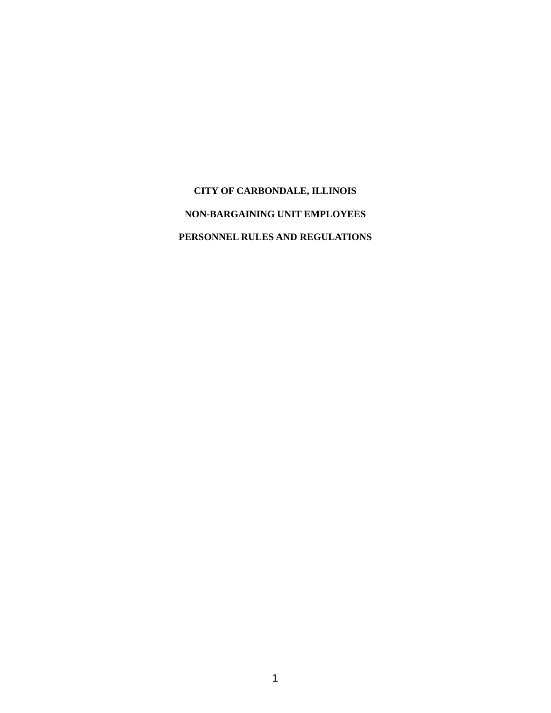**CITY OF CARBONDALE, ILLINOIS NON-BARGAINING UNIT EMPLOYEES PERSONNEL RULES AND REGULATIONS**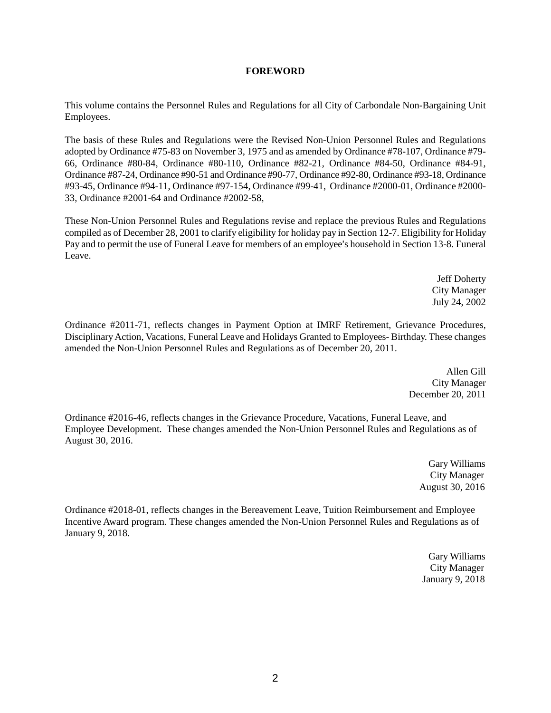# **FOREWORD**

This volume contains the Personnel Rules and Regulations for all City of Carbondale Non-Bargaining Unit Employees.

The basis of these Rules and Regulations were the Revised Non-Union Personnel Rules and Regulations adopted by Ordinance #75-83 on November 3, 1975 and as amended by Ordinance #78-107, Ordinance #79- 66, Ordinance #80-84, Ordinance #80-110, Ordinance #82-21, Ordinance #84-50, Ordinance #84-91, Ordinance #87-24, Ordinance #90-51 and Ordinance #90-77, Ordinance #92-80, Ordinance #93-18, Ordinance #93-45, Ordinance #94-11, Ordinance #97-154, Ordinance #99-41, Ordinance #2000-01, Ordinance #2000- 33, Ordinance #2001-64 and Ordinance #2002-58,

These Non-Union Personnel Rules and Regulations revise and replace the previous Rules and Regulations compiled as of December 28, 2001 to clarify eligibility for holiday pay in Section 12-7. Eligibility for Holiday Pay and to permit the use of Funeral Leave for members of an employee's household in Section 13-8. Funeral Leave.

> Jeff Doherty City Manager July 24, 2002

Ordinance #2011-71, reflects changes in Payment Option at IMRF Retirement, Grievance Procedures, Disciplinary Action, Vacations, Funeral Leave and Holidays Granted to Employees- Birthday. These changes amended the Non-Union Personnel Rules and Regulations as of December 20, 2011.

> Allen Gill City Manager December 20, 2011

Ordinance #2016-46, reflects changes in the Grievance Procedure, Vacations, Funeral Leave, and Employee Development. These changes amended the Non-Union Personnel Rules and Regulations as of August 30, 2016.

> Gary Williams City Manager August 30, 2016

Ordinance #2018-01, reflects changes in the Bereavement Leave, Tuition Reimbursement and Employee Incentive Award program. These changes amended the Non-Union Personnel Rules and Regulations as of January 9, 2018.

> Gary Williams City Manager January 9, 2018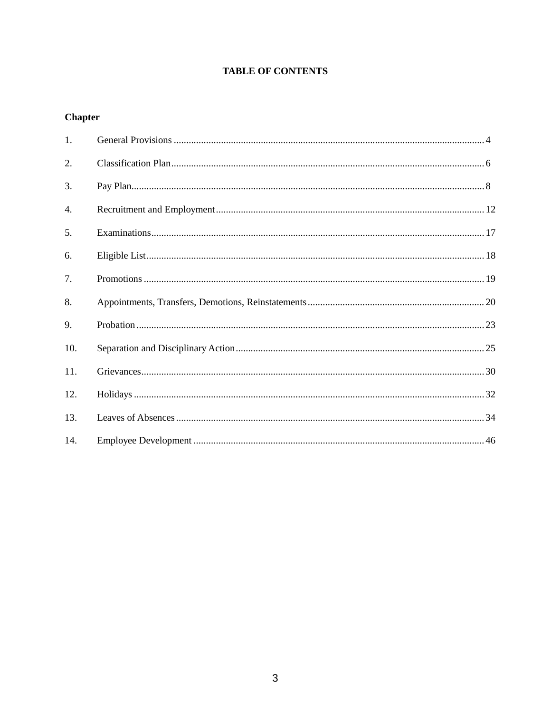# **TABLE OF CONTENTS**

# **Chapter**

| 1.  |  |
|-----|--|
| 2.  |  |
| 3.  |  |
| 4.  |  |
| 5.  |  |
| 6.  |  |
| 7.  |  |
| 8.  |  |
| 9.  |  |
| 10. |  |
| 11. |  |
| 12. |  |
| 13. |  |
| 14. |  |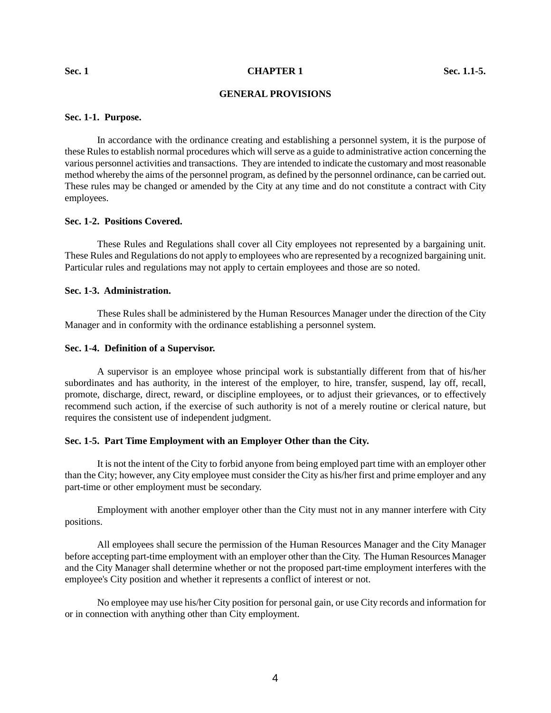#### **GENERAL PROVISIONS**

#### **Sec. 1-1. Purpose.**

In accordance with the ordinance creating and establishing a personnel system, it is the purpose of these Rules to establish normal procedures which will serve as a guide to administrative action concerning the various personnel activities and transactions. They are intended to indicate the customary and most reasonable method whereby the aims of the personnel program, as defined by the personnel ordinance, can be carried out. These rules may be changed or amended by the City at any time and do not constitute a contract with City employees.

#### **Sec. 1-2. Positions Covered.**

These Rules and Regulations shall cover all City employees not represented by a bargaining unit. These Rules and Regulations do not apply to employees who are represented by a recognized bargaining unit. Particular rules and regulations may not apply to certain employees and those are so noted.

#### **Sec. 1-3. Administration.**

These Rules shall be administered by the Human Resources Manager under the direction of the City Manager and in conformity with the ordinance establishing a personnel system.

#### **Sec. 1-4. Definition of a Supervisor.**

A supervisor is an employee whose principal work is substantially different from that of his/her subordinates and has authority, in the interest of the employer, to hire, transfer, suspend, lay off, recall, promote, discharge, direct, reward, or discipline employees, or to adjust their grievances, or to effectively recommend such action, if the exercise of such authority is not of a merely routine or clerical nature, but requires the consistent use of independent judgment.

#### **Sec. 1-5. Part Time Employment with an Employer Other than the City.**

It is not the intent of the City to forbid anyone from being employed part time with an employer other than the City; however, any City employee must consider the City as his/her first and prime employer and any part-time or other employment must be secondary.

Employment with another employer other than the City must not in any manner interfere with City positions.

All employees shall secure the permission of the Human Resources Manager and the City Manager before accepting part-time employment with an employer other than the City. The Human Resources Manager and the City Manager shall determine whether or not the proposed part-time employment interferes with the employee's City position and whether it represents a conflict of interest or not.

No employee may use his/her City position for personal gain, or use City records and information for or in connection with anything other than City employment.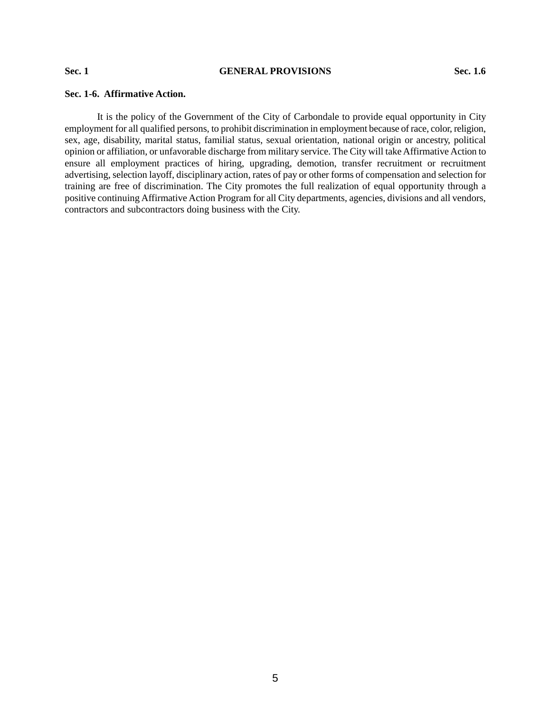#### **Sec. 1 GENERAL PROVISIONS Sec. 1.6**

# **Sec. 1-6. Affirmative Action.**

It is the policy of the Government of the City of Carbondale to provide equal opportunity in City employment for all qualified persons, to prohibit discrimination in employment because of race, color, religion, sex, age, disability, marital status, familial status, sexual orientation, national origin or ancestry, political opinion or affiliation, or unfavorable discharge from military service. The City will take Affirmative Action to ensure all employment practices of hiring, upgrading, demotion, transfer recruitment or recruitment advertising, selection layoff, disciplinary action, rates of pay or other forms of compensation and selection for training are free of discrimination. The City promotes the full realization of equal opportunity through a positive continuing Affirmative Action Program for all City departments, agencies, divisions and all vendors, contractors and subcontractors doing business with the City.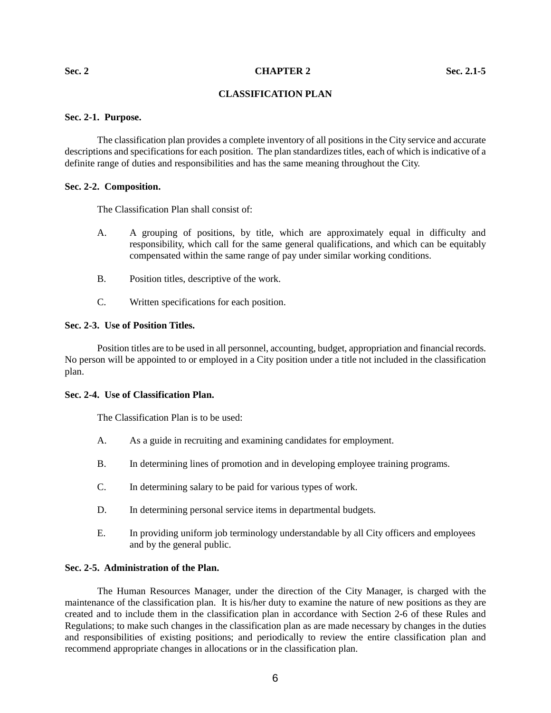#### **Sec. 2** Sec. 2.1-5

# **CLASSIFICATION PLAN**

## **Sec. 2-1. Purpose.**

The classification plan provides a complete inventory of all positions in the City service and accurate descriptions and specifications for each position. The plan standardizes titles, each of which is indicative of a definite range of duties and responsibilities and has the same meaning throughout the City.

#### **Sec. 2-2. Composition.**

The Classification Plan shall consist of:

- A. A grouping of positions, by title, which are approximately equal in difficulty and responsibility, which call for the same general qualifications, and which can be equitably compensated within the same range of pay under similar working conditions.
- B. Position titles, descriptive of the work.
- C. Written specifications for each position.

#### **Sec. 2-3. Use of Position Titles.**

Position titles are to be used in all personnel, accounting, budget, appropriation and financial records. No person will be appointed to or employed in a City position under a title not included in the classification plan.

## **Sec. 2-4. Use of Classification Plan.**

The Classification Plan is to be used:

- A. As a guide in recruiting and examining candidates for employment.
- B. In determining lines of promotion and in developing employee training programs.
- C. In determining salary to be paid for various types of work.
- D. In determining personal service items in departmental budgets.
- E. In providing uniform job terminology understandable by all City officers and employees and by the general public.

## **Sec. 2-5. Administration of the Plan.**

The Human Resources Manager, under the direction of the City Manager, is charged with the maintenance of the classification plan. It is his/her duty to examine the nature of new positions as they are created and to include them in the classification plan in accordance with Section 2-6 of these Rules and Regulations; to make such changes in the classification plan as are made necessary by changes in the duties and responsibilities of existing positions; and periodically to review the entire classification plan and recommend appropriate changes in allocations or in the classification plan.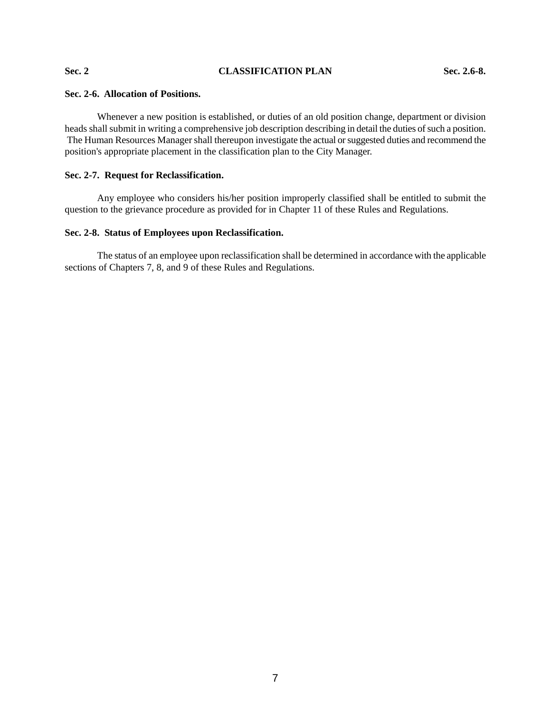# **Sec. 2 CLASSIFICATION PLAN Sec. 2.6-8.**

### **Sec. 2-6. Allocation of Positions.**

Whenever a new position is established, or duties of an old position change, department or division heads shall submit in writing a comprehensive job description describing in detail the duties of such a position. The Human Resources Manager shall thereupon investigate the actual or suggested duties and recommend the position's appropriate placement in the classification plan to the City Manager.

# **Sec. 2-7. Request for Reclassification.**

Any employee who considers his/her position improperly classified shall be entitled to submit the question to the grievance procedure as provided for in Chapter 11 of these Rules and Regulations.

# **Sec. 2-8. Status of Employees upon Reclassification.**

The status of an employee upon reclassification shall be determined in accordance with the applicable sections of Chapters 7, 8, and 9 of these Rules and Regulations.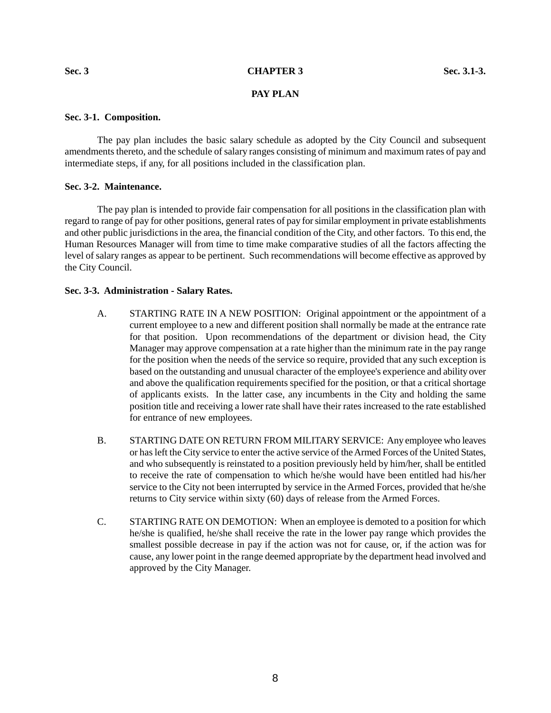#### **Sec. 3 CHAPTER 3 Sec. 3.1-3.**

# **PAY PLAN**

## **Sec. 3-1. Composition.**

The pay plan includes the basic salary schedule as adopted by the City Council and subsequent amendments thereto, and the schedule of salary ranges consisting of minimum and maximum rates of pay and intermediate steps, if any, for all positions included in the classification plan.

## **Sec. 3-2. Maintenance.**

The pay plan is intended to provide fair compensation for all positions in the classification plan with regard to range of pay for other positions, general rates of pay for similar employment in private establishments and other public jurisdictions in the area, the financial condition of the City, and other factors. To this end, the Human Resources Manager will from time to time make comparative studies of all the factors affecting the level of salary ranges as appear to be pertinent. Such recommendations will become effective as approved by the City Council.

#### **Sec. 3-3. Administration - Salary Rates.**

- A. STARTING RATE IN A NEW POSITION: Original appointment or the appointment of a current employee to a new and different position shall normally be made at the entrance rate for that position. Upon recommendations of the department or division head, the City Manager may approve compensation at a rate higher than the minimum rate in the pay range for the position when the needs of the service so require, provided that any such exception is based on the outstanding and unusual character of the employee's experience and ability over and above the qualification requirements specified for the position, or that a critical shortage of applicants exists. In the latter case, any incumbents in the City and holding the same position title and receiving a lower rate shall have their rates increased to the rate established for entrance of new employees.
- B. STARTING DATE ON RETURN FROM MILITARY SERVICE: Any employee who leaves or has left the City service to enter the active service of the Armed Forces of the United States, and who subsequently is reinstated to a position previously held by him/her, shall be entitled to receive the rate of compensation to which he/she would have been entitled had his/her service to the City not been interrupted by service in the Armed Forces, provided that he/she returns to City service within sixty (60) days of release from the Armed Forces.
- C. STARTING RATE ON DEMOTION: When an employee is demoted to a position for which he/she is qualified, he/she shall receive the rate in the lower pay range which provides the smallest possible decrease in pay if the action was not for cause, or, if the action was for cause, any lower point in the range deemed appropriate by the department head involved and approved by the City Manager.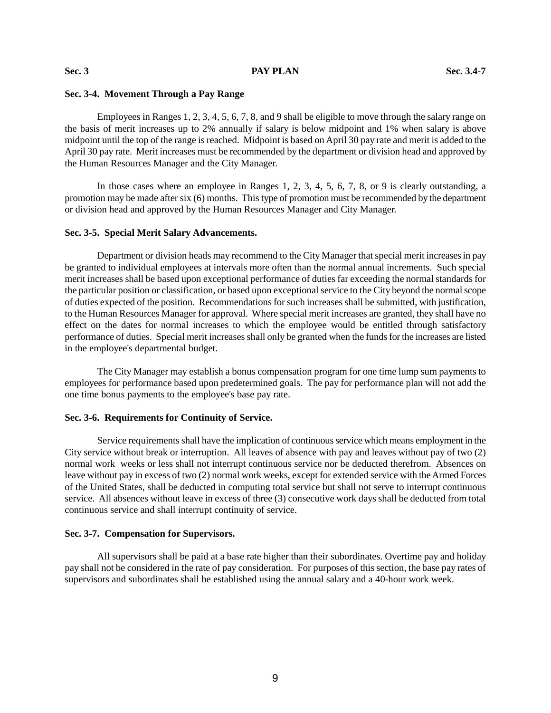# **Sec. 3-4. Movement Through a Pay Range**

Employees in Ranges 1, 2, 3, 4, 5, 6, 7, 8, and 9 shall be eligible to move through the salary range on the basis of merit increases up to 2% annually if salary is below midpoint and 1% when salary is above midpoint until the top of the range is reached. Midpoint is based on April 30 pay rate and merit is added to the April 30 pay rate. Merit increases must be recommended by the department or division head and approved by the Human Resources Manager and the City Manager.

In those cases where an employee in Ranges 1, 2, 3, 4, 5, 6, 7, 8, or 9 is clearly outstanding, a promotion may be made after six (6) months. This type of promotion must be recommended by the department or division head and approved by the Human Resources Manager and City Manager.

#### **Sec. 3-5. Special Merit Salary Advancements.**

Department or division heads may recommend to the City Manager that special merit increases in pay be granted to individual employees at intervals more often than the normal annual increments. Such special merit increases shall be based upon exceptional performance of duties far exceeding the normal standards for the particular position or classification, or based upon exceptional service to the City beyond the normal scope of duties expected of the position. Recommendations for such increases shall be submitted, with justification, to the Human Resources Manager for approval. Where special merit increases are granted, they shall have no effect on the dates for normal increases to which the employee would be entitled through satisfactory performance of duties. Special merit increases shall only be granted when the funds for the increases are listed in the employee's departmental budget.

The City Manager may establish a bonus compensation program for one time lump sum payments to employees for performance based upon predetermined goals. The pay for performance plan will not add the one time bonus payments to the employee's base pay rate.

#### **Sec. 3-6. Requirements for Continuity of Service.**

Service requirements shall have the implication of continuous service which means employment in the City service without break or interruption. All leaves of absence with pay and leaves without pay of two (2) normal work weeks or less shall not interrupt continuous service nor be deducted therefrom. Absences on leave without pay in excess of two (2) normal work weeks, except for extended service with the Armed Forces of the United States, shall be deducted in computing total service but shall not serve to interrupt continuous service. All absences without leave in excess of three (3) consecutive work days shall be deducted from total continuous service and shall interrupt continuity of service.

#### **Sec. 3-7. Compensation for Supervisors.**

All supervisors shall be paid at a base rate higher than their subordinates. Overtime pay and holiday pay shall not be considered in the rate of pay consideration. For purposes of this section, the base pay rates of supervisors and subordinates shall be established using the annual salary and a 40-hour work week.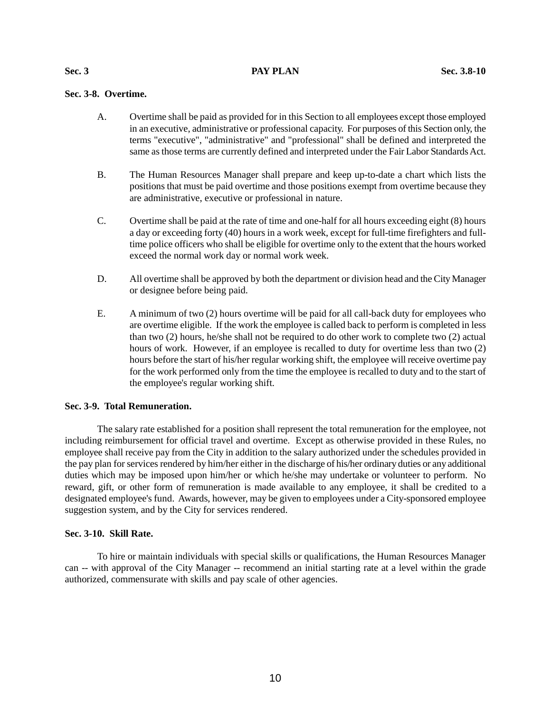# **Sec. 3-8. Overtime.**

- A. Overtime shall be paid as provided for in this Section to all employees except those employed in an executive, administrative or professional capacity. For purposes of this Section only, the terms "executive", "administrative" and "professional" shall be defined and interpreted the same as those terms are currently defined and interpreted under the Fair Labor Standards Act.
- B. The Human Resources Manager shall prepare and keep up-to-date a chart which lists the positions that must be paid overtime and those positions exempt from overtime because they are administrative, executive or professional in nature.
- C. Overtime shall be paid at the rate of time and one-half for all hours exceeding eight (8) hours a day or exceeding forty (40) hours in a work week, except for full-time firefighters and fulltime police officers who shall be eligible for overtime only to the extent that the hours worked exceed the normal work day or normal work week.
- D. All overtime shall be approved by both the department or division head and the City Manager or designee before being paid.
- E. A minimum of two (2) hours overtime will be paid for all call-back duty for employees who are overtime eligible. If the work the employee is called back to perform is completed in less than two (2) hours, he/she shall not be required to do other work to complete two (2) actual hours of work. However, if an employee is recalled to duty for overtime less than two  $(2)$ hours before the start of his/her regular working shift, the employee will receive overtime pay for the work performed only from the time the employee is recalled to duty and to the start of the employee's regular working shift.

# **Sec. 3-9. Total Remuneration.**

The salary rate established for a position shall represent the total remuneration for the employee, not including reimbursement for official travel and overtime. Except as otherwise provided in these Rules, no employee shall receive pay from the City in addition to the salary authorized under the schedules provided in the pay plan for services rendered by him/her either in the discharge of his/her ordinary duties or any additional duties which may be imposed upon him/her or which he/she may undertake or volunteer to perform. No reward, gift, or other form of remuneration is made available to any employee, it shall be credited to a designated employee's fund. Awards, however, may be given to employees under a City-sponsored employee suggestion system, and by the City for services rendered.

## **Sec. 3-10. Skill Rate.**

To hire or maintain individuals with special skills or qualifications, the Human Resources Manager can -- with approval of the City Manager -- recommend an initial starting rate at a level within the grade authorized, commensurate with skills and pay scale of other agencies.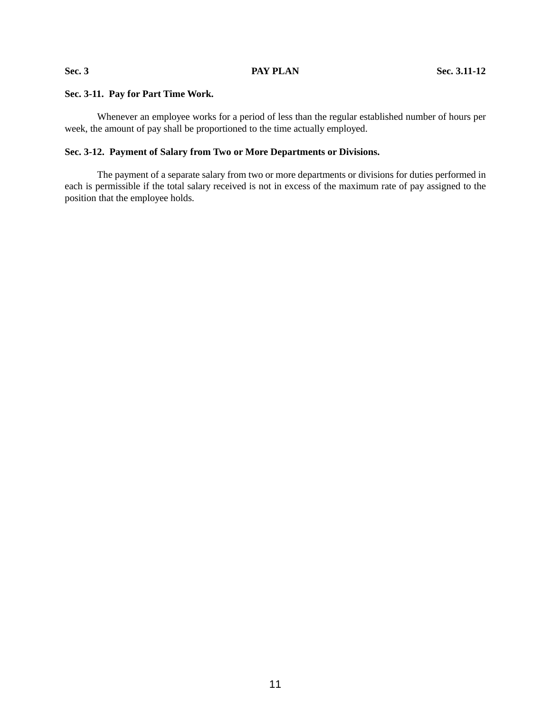# **Sec. 3-11. Pay for Part Time Work.**

Whenever an employee works for a period of less than the regular established number of hours per week, the amount of pay shall be proportioned to the time actually employed.

# **Sec. 3-12. Payment of Salary from Two or More Departments or Divisions.**

The payment of a separate salary from two or more departments or divisions for duties performed in each is permissible if the total salary received is not in excess of the maximum rate of pay assigned to the position that the employee holds.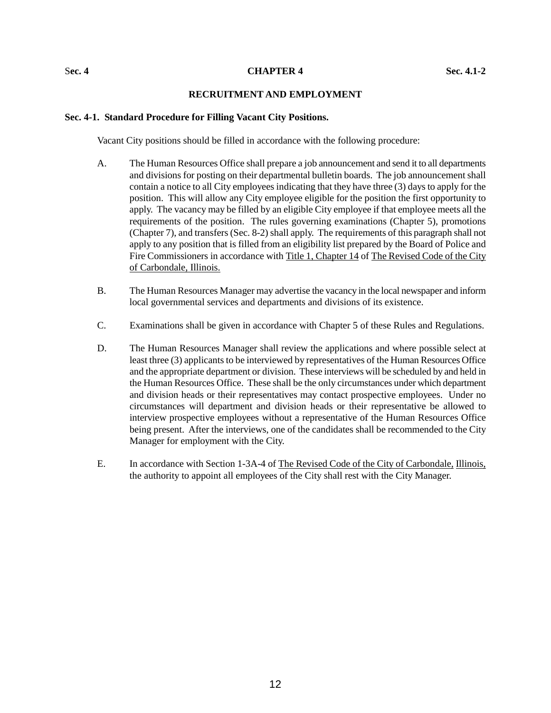#### S**ec. 4 CHAPTER 4 Sec. 4.1-2**

# **RECRUITMENT AND EMPLOYMENT**

#### **Sec. 4-1. Standard Procedure for Filling Vacant City Positions.**

Vacant City positions should be filled in accordance with the following procedure:

- A. The Human Resources Office shall prepare a job announcement and send it to all departments and divisions for posting on their departmental bulletin boards. The job announcement shall contain a notice to all City employees indicating that they have three (3) days to apply for the position. This will allow any City employee eligible for the position the first opportunity to apply. The vacancy may be filled by an eligible City employee if that employee meets all the requirements of the position. The rules governing examinations (Chapter 5), promotions (Chapter 7), and transfers (Sec. 8-2) shall apply. The requirements of this paragraph shall not apply to any position that is filled from an eligibility list prepared by the Board of Police and Fire Commissioners in accordance with Title 1, Chapter 14 of The Revised Code of the City of Carbondale, Illinois.
- B. The Human Resources Manager may advertise the vacancy in the local newspaper and inform local governmental services and departments and divisions of its existence.
- C. Examinations shall be given in accordance with Chapter 5 of these Rules and Regulations.
- D. The Human Resources Manager shall review the applications and where possible select at least three (3) applicants to be interviewed by representatives of the Human Resources Office and the appropriate department or division. These interviews will be scheduled by and held in the Human Resources Office. These shall be the only circumstances under which department and division heads or their representatives may contact prospective employees. Under no circumstances will department and division heads or their representative be allowed to interview prospective employees without a representative of the Human Resources Office being present. After the interviews, one of the candidates shall be recommended to the City Manager for employment with the City.
- E. In accordance with Section 1-3A-4 of The Revised Code of the City of Carbondale, Illinois, the authority to appoint all employees of the City shall rest with the City Manager.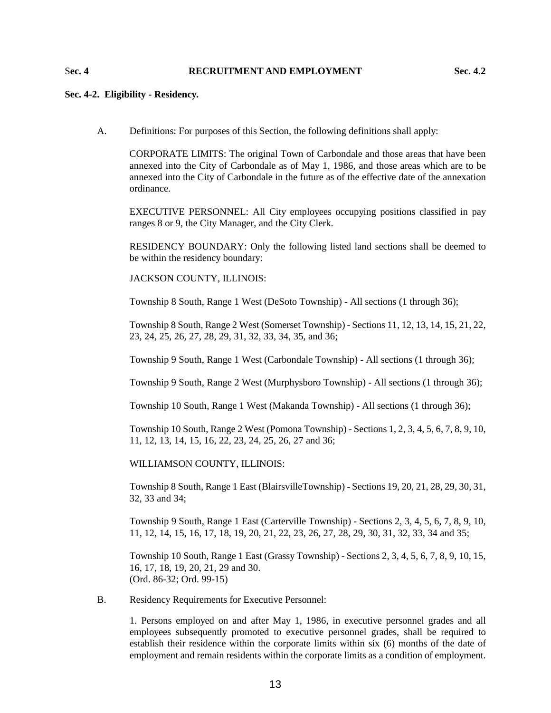# S**ec. 4 RECRUITMENT AND EMPLOYMENT Sec. 4.2**

## **Sec. 4-2. Eligibility - Residency.**

A. Definitions: For purposes of this Section, the following definitions shall apply:

CORPORATE LIMITS: The original Town of Carbondale and those areas that have been annexed into the City of Carbondale as of May 1, 1986, and those areas which are to be annexed into the City of Carbondale in the future as of the effective date of the annexation ordinance.

EXECUTIVE PERSONNEL: All City employees occupying positions classified in pay ranges 8 or 9, the City Manager, and the City Clerk.

RESIDENCY BOUNDARY: Only the following listed land sections shall be deemed to be within the residency boundary:

JACKSON COUNTY, ILLINOIS:

Township 8 South, Range 1 West (DeSoto Township) - All sections (1 through 36);

Township 8 South, Range 2 West (Somerset Township) - Sections 11, 12, 13, 14, 15, 21, 22, 23, 24, 25, 26, 27, 28, 29, 31, 32, 33, 34, 35, and 36;

Township 9 South, Range 1 West (Carbondale Township) - All sections (1 through 36);

Township 9 South, Range 2 West (Murphysboro Township) - All sections (1 through 36);

Township 10 South, Range 1 West (Makanda Township) - All sections (1 through 36);

Township 10 South, Range 2 West (Pomona Township) - Sections 1, 2, 3, 4, 5, 6, 7, 8, 9, 10, 11, 12, 13, 14, 15, 16, 22, 23, 24, 25, 26, 27 and 36;

WILLIAMSON COUNTY, ILLINOIS:

Township 8 South, Range 1 East (BlairsvilleTownship) - Sections 19, 20, 21, 28, 29, 30, 31, 32, 33 and 34;

Township 9 South, Range 1 East (Carterville Township) - Sections 2, 3, 4, 5, 6, 7, 8, 9, 10, 11, 12, 14, 15, 16, 17, 18, 19, 20, 21, 22, 23, 26, 27, 28, 29, 30, 31, 32, 33, 34 and 35;

Township 10 South, Range 1 East (Grassy Township) - Sections 2, 3, 4, 5, 6, 7, 8, 9, 10, 15, 16, 17, 18, 19, 20, 21, 29 and 30. (Ord. 86-32; Ord. 99-15)

B. Residency Requirements for Executive Personnel:

1. Persons employed on and after May 1, 1986, in executive personnel grades and all employees subsequently promoted to executive personnel grades, shall be required to establish their residence within the corporate limits within six (6) months of the date of employment and remain residents within the corporate limits as a condition of employment.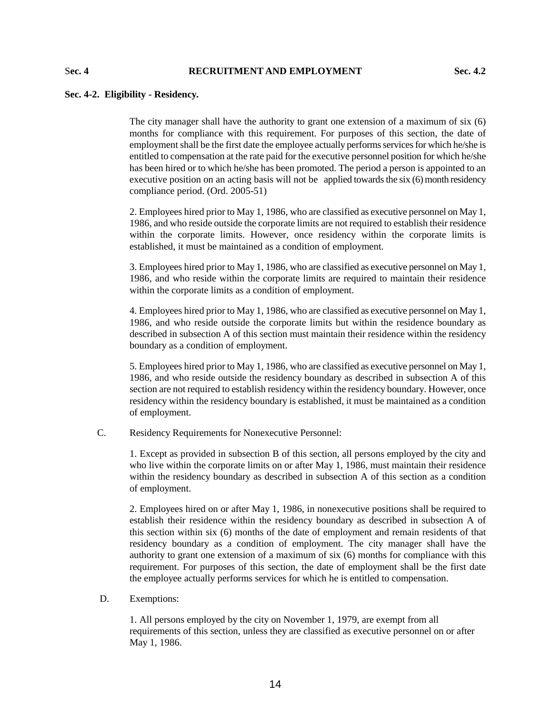#### S**ec. 4 RECRUITMENT AND EMPLOYMENT Sec. 4.2**

#### **Sec. 4-2. Eligibility - Residency.**

The city manager shall have the authority to grant one extension of a maximum of six (6) months for compliance with this requirement. For purposes of this section, the date of employment shall be the first date the employee actually performs services for which he/she is entitled to compensation at the rate paid for the executive personnel position for which he/she has been hired or to which he/she has been promoted. The period a person is appointed to an executive position on an acting basis will not be applied towards the six (6) month residency compliance period. (Ord. 2005-51)

2. Employees hired prior to May 1, 1986, who are classified as executive personnel on May 1, 1986, and who reside outside the corporate limits are not required to establish their residence within the corporate limits. However, once residency within the corporate limits is established, it must be maintained as a condition of employment.

3. Employees hired prior to May 1, 1986, who are classified as executive personnel on May 1, 1986, and who reside within the corporate limits are required to maintain their residence within the corporate limits as a condition of employment.

4. Employees hired prior to May 1, 1986, who are classified as executive personnel on May 1, 1986, and who reside outside the corporate limits but within the residence boundary as described in subsection A of this section must maintain their residence within the residency boundary as a condition of employment.

5. Employees hired prior to May 1, 1986, who are classified as executive personnel on May 1, 1986, and who reside outside the residency boundary as described in subsection A of this section are not required to establish residency within the residency boundary. However, once residency within the residency boundary is established, it must be maintained as a condition of employment.

C. Residency Requirements for Nonexecutive Personnel:

1. Except as provided in subsection B of this section, all persons employed by the city and who live within the corporate limits on or after May 1, 1986, must maintain their residence within the residency boundary as described in subsection A of this section as a condition of employment.

2. Employees hired on or after May 1, 1986, in nonexecutive positions shall be required to establish their residence within the residency boundary as described in subsection A of this section within six (6) months of the date of employment and remain residents of that residency boundary as a condition of employment. The city manager shall have the authority to grant one extension of a maximum of six (6) months for compliance with this requirement. For purposes of this section, the date of employment shall be the first date the employee actually performs services for which he is entitled to compensation.

D. Exemptions:

1. All persons employed by the city on November 1, 1979, are exempt from all requirements of this section, unless they are classified as executive personnel on or after May 1, 1986.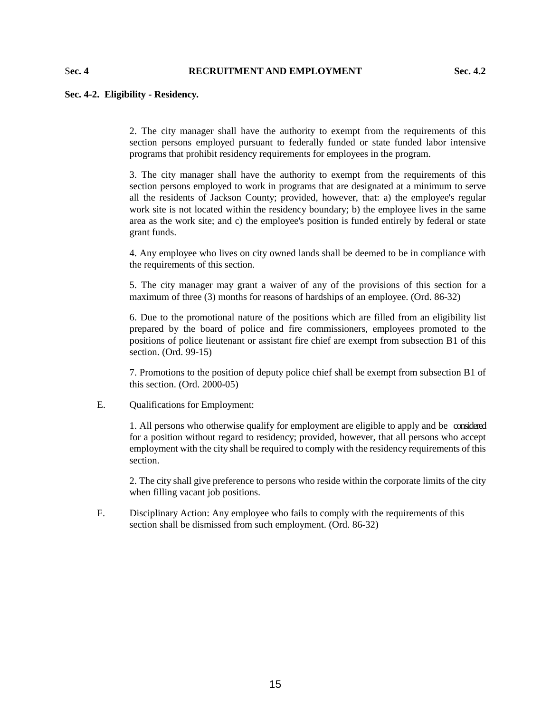### S**ec. 4 RECRUITMENT AND EMPLOYMENT Sec. 4.2**

#### **Sec. 4-2. Eligibility - Residency.**

2. The city manager shall have the authority to exempt from the requirements of this section persons employed pursuant to federally funded or state funded labor intensive programs that prohibit residency requirements for employees in the program.

3. The city manager shall have the authority to exempt from the requirements of this section persons employed to work in programs that are designated at a minimum to serve all the residents of Jackson County; provided, however, that: a) the employee's regular work site is not located within the residency boundary; b) the employee lives in the same area as the work site; and c) the employee's position is funded entirely by federal or state grant funds.

4. Any employee who lives on city owned lands shall be deemed to be in compliance with the requirements of this section.

5. The city manager may grant a waiver of any of the provisions of this section for a maximum of three (3) months for reasons of hardships of an employee. (Ord. 86-32)

6. Due to the promotional nature of the positions which are filled from an eligibility list prepared by the board of police and fire commissioners, employees promoted to the positions of police lieutenant or assistant fire chief are exempt from subsection B1 of this section. (Ord. 99-15)

7. Promotions to the position of deputy police chief shall be exempt from subsection B1 of this section. (Ord. 2000-05)

E. Qualifications for Employment:

1. All persons who otherwise qualify for employment are eligible to apply and be considered for a position without regard to residency; provided, however, that all persons who accept employment with the city shall be required to comply with the residency requirements of this section.

2. The city shall give preference to persons who reside within the corporate limits of the city when filling vacant job positions.

F. Disciplinary Action: Any employee who fails to comply with the requirements of this section shall be dismissed from such employment. (Ord. 86-32)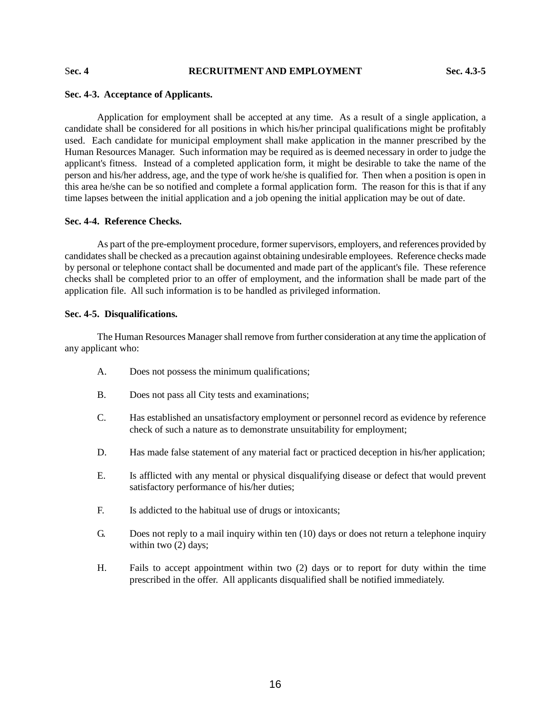# S**ec. 4 RECRUITMENT AND EMPLOYMENT Sec. 4.3-5**

## **Sec. 4-3. Acceptance of Applicants.**

Application for employment shall be accepted at any time. As a result of a single application, a candidate shall be considered for all positions in which his/her principal qualifications might be profitably used. Each candidate for municipal employment shall make application in the manner prescribed by the Human Resources Manager. Such information may be required as is deemed necessary in order to judge the applicant's fitness. Instead of a completed application form, it might be desirable to take the name of the person and his/her address, age, and the type of work he/she is qualified for. Then when a position is open in this area he/she can be so notified and complete a formal application form. The reason for this is that if any time lapses between the initial application and a job opening the initial application may be out of date.

## **Sec. 4-4. Reference Checks.**

As part of the pre-employment procedure, former supervisors, employers, and references provided by candidates shall be checked as a precaution against obtaining undesirable employees. Reference checks made by personal or telephone contact shall be documented and made part of the applicant's file. These reference checks shall be completed prior to an offer of employment, and the information shall be made part of the application file. All such information is to be handled as privileged information.

#### **Sec. 4-5. Disqualifications.**

The Human Resources Manager shall remove from further consideration at any time the application of any applicant who:

- A. Does not possess the minimum qualifications;
- B. Does not pass all City tests and examinations;
- C. Has established an unsatisfactory employment or personnel record as evidence by reference check of such a nature as to demonstrate unsuitability for employment;
- D. Has made false statement of any material fact or practiced deception in his/her application;
- E. Is afflicted with any mental or physical disqualifying disease or defect that would prevent satisfactory performance of his/her duties;
- F. Is addicted to the habitual use of drugs or intoxicants;
- G. Does not reply to a mail inquiry within ten (10) days or does not return a telephone inquiry within two  $(2)$  days;
- H. Fails to accept appointment within two (2) days or to report for duty within the time prescribed in the offer. All applicants disqualified shall be notified immediately.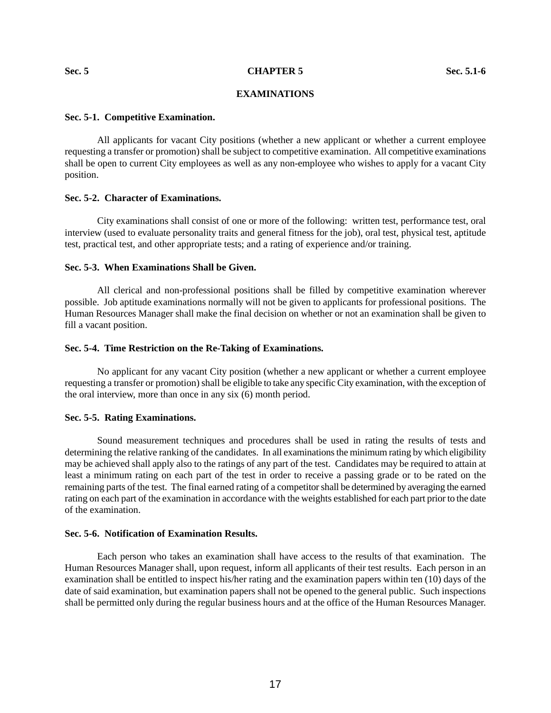# **EXAMINATIONS**

#### **Sec. 5-1. Competitive Examination.**

All applicants for vacant City positions (whether a new applicant or whether a current employee requesting a transfer or promotion) shall be subject to competitive examination. All competitive examinations shall be open to current City employees as well as any non-employee who wishes to apply for a vacant City position.

# **Sec. 5-2. Character of Examinations.**

City examinations shall consist of one or more of the following: written test, performance test, oral interview (used to evaluate personality traits and general fitness for the job), oral test, physical test, aptitude test, practical test, and other appropriate tests; and a rating of experience and/or training.

# **Sec. 5-3. When Examinations Shall be Given.**

All clerical and non-professional positions shall be filled by competitive examination wherever possible. Job aptitude examinations normally will not be given to applicants for professional positions. The Human Resources Manager shall make the final decision on whether or not an examination shall be given to fill a vacant position.

#### **Sec. 5-4. Time Restriction on the Re-Taking of Examinations.**

No applicant for any vacant City position (whether a new applicant or whether a current employee requesting a transfer or promotion) shall be eligible to take any specific City examination, with the exception of the oral interview, more than once in any six (6) month period.

#### **Sec. 5-5. Rating Examinations.**

Sound measurement techniques and procedures shall be used in rating the results of tests and determining the relative ranking of the candidates. In all examinations the minimum rating by which eligibility may be achieved shall apply also to the ratings of any part of the test. Candidates may be required to attain at least a minimum rating on each part of the test in order to receive a passing grade or to be rated on the remaining parts of the test. The final earned rating of a competitor shall be determined by averaging the earned rating on each part of the examination in accordance with the weights established for each part prior to the date of the examination.

#### **Sec. 5-6. Notification of Examination Results.**

Each person who takes an examination shall have access to the results of that examination. The Human Resources Manager shall, upon request, inform all applicants of their test results. Each person in an examination shall be entitled to inspect his/her rating and the examination papers within ten (10) days of the date of said examination, but examination papers shall not be opened to the general public. Such inspections shall be permitted only during the regular business hours and at the office of the Human Resources Manager.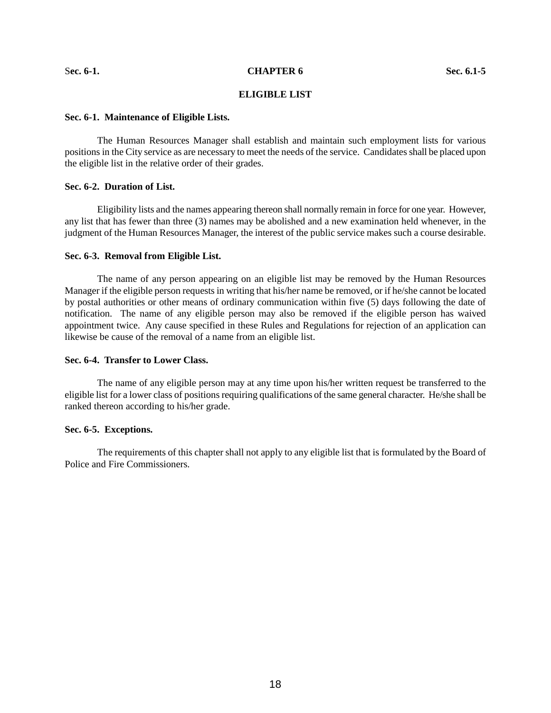#### S**ec. 6-1. CHAPTER 6 Sec. 6.1-5**

# **ELIGIBLE LIST**

#### **Sec. 6-1. Maintenance of Eligible Lists.**

The Human Resources Manager shall establish and maintain such employment lists for various positions in the City service as are necessary to meet the needs of the service. Candidates shall be placed upon the eligible list in the relative order of their grades.

#### **Sec. 6-2. Duration of List.**

Eligibility lists and the names appearing thereon shall normally remain in force for one year. However, any list that has fewer than three (3) names may be abolished and a new examination held whenever, in the judgment of the Human Resources Manager, the interest of the public service makes such a course desirable.

#### **Sec. 6-3. Removal from Eligible List.**

The name of any person appearing on an eligible list may be removed by the Human Resources Manager if the eligible person requests in writing that his/her name be removed, or if he/she cannot be located by postal authorities or other means of ordinary communication within five (5) days following the date of notification. The name of any eligible person may also be removed if the eligible person has waived appointment twice. Any cause specified in these Rules and Regulations for rejection of an application can likewise be cause of the removal of a name from an eligible list.

#### **Sec. 6-4. Transfer to Lower Class.**

The name of any eligible person may at any time upon his/her written request be transferred to the eligible list for a lower class of positions requiring qualifications of the same general character. He/she shall be ranked thereon according to his/her grade.

#### **Sec. 6-5. Exceptions.**

The requirements of this chapter shall not apply to any eligible list that is formulated by the Board of Police and Fire Commissioners.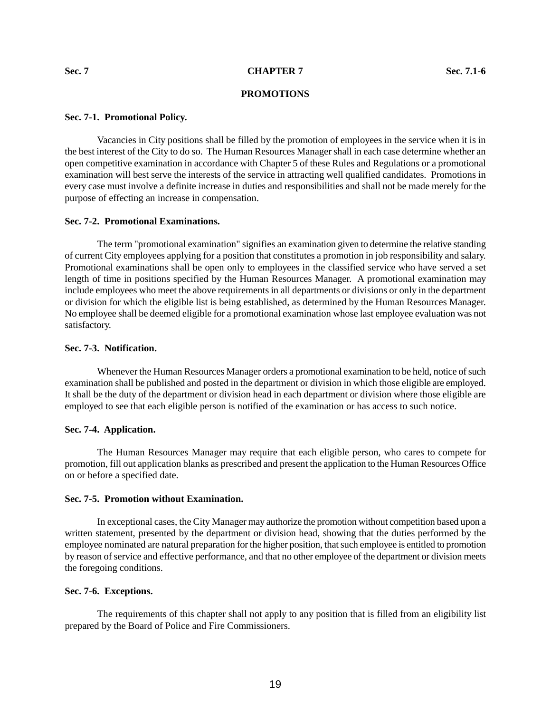# **PROMOTIONS**

#### **Sec. 7-1. Promotional Policy.**

Vacancies in City positions shall be filled by the promotion of employees in the service when it is in the best interest of the City to do so. The Human Resources Manager shall in each case determine whether an open competitive examination in accordance with Chapter 5 of these Rules and Regulations or a promotional examination will best serve the interests of the service in attracting well qualified candidates. Promotions in every case must involve a definite increase in duties and responsibilities and shall not be made merely for the purpose of effecting an increase in compensation.

#### **Sec. 7-2. Promotional Examinations.**

The term "promotional examination" signifies an examination given to determine the relative standing of current City employees applying for a position that constitutes a promotion in job responsibility and salary. Promotional examinations shall be open only to employees in the classified service who have served a set length of time in positions specified by the Human Resources Manager. A promotional examination may include employees who meet the above requirements in all departments or divisions or only in the department or division for which the eligible list is being established, as determined by the Human Resources Manager. No employee shall be deemed eligible for a promotional examination whose last employee evaluation was not satisfactory.

# **Sec. 7-3. Notification.**

Whenever the Human Resources Manager orders a promotional examination to be held, notice of such examination shall be published and posted in the department or division in which those eligible are employed. It shall be the duty of the department or division head in each department or division where those eligible are employed to see that each eligible person is notified of the examination or has access to such notice.

# **Sec. 7-4. Application.**

The Human Resources Manager may require that each eligible person, who cares to compete for promotion, fill out application blanks as prescribed and present the application to the Human Resources Office on or before a specified date.

# **Sec. 7-5. Promotion without Examination.**

In exceptional cases, the City Manager may authorize the promotion without competition based upon a written statement, presented by the department or division head, showing that the duties performed by the employee nominated are natural preparation for the higher position, that such employee is entitled to promotion by reason of service and effective performance, and that no other employee of the department or division meets the foregoing conditions.

#### **Sec. 7-6. Exceptions.**

The requirements of this chapter shall not apply to any position that is filled from an eligibility list prepared by the Board of Police and Fire Commissioners.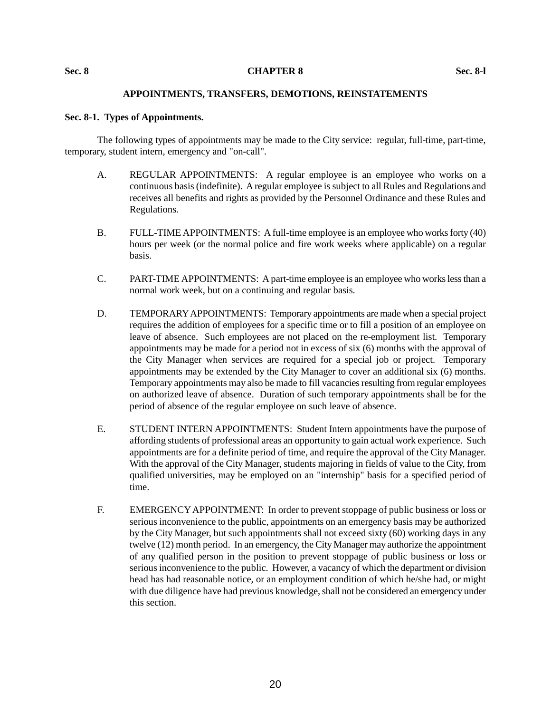#### **Sec. 8 CHAPTER 8 Sec. 8-l**

# **APPOINTMENTS, TRANSFERS, DEMOTIONS, REINSTATEMENTS**

## **Sec. 8-1. Types of Appointments.**

The following types of appointments may be made to the City service: regular, full-time, part-time, temporary, student intern, emergency and "on-call".

- A. REGULAR APPOINTMENTS: A regular employee is an employee who works on a continuous basis (indefinite). A regular employee is subject to all Rules and Regulations and receives all benefits and rights as provided by the Personnel Ordinance and these Rules and Regulations.
- B. FULL-TIME APPOINTMENTS: A full-time employee is an employee who works forty (40) hours per week (or the normal police and fire work weeks where applicable) on a regular basis.
- C. PART-TIME APPOINTMENTS: A part-time employee is an employee who works less than a normal work week, but on a continuing and regular basis.
- D. TEMPORARY APPOINTMENTS: Temporary appointments are made when a special project requires the addition of employees for a specific time or to fill a position of an employee on leave of absence. Such employees are not placed on the re-employment list. Temporary appointments may be made for a period not in excess of six (6) months with the approval of the City Manager when services are required for a special job or project. Temporary appointments may be extended by the City Manager to cover an additional six (6) months. Temporary appointments may also be made to fill vacancies resulting from regular employees on authorized leave of absence. Duration of such temporary appointments shall be for the period of absence of the regular employee on such leave of absence.
- E. STUDENT INTERN APPOINTMENTS: Student Intern appointments have the purpose of affording students of professional areas an opportunity to gain actual work experience. Such appointments are for a definite period of time, and require the approval of the City Manager. With the approval of the City Manager, students majoring in fields of value to the City, from qualified universities, may be employed on an "internship" basis for a specified period of time.
- F. EMERGENCY APPOINTMENT: In order to prevent stoppage of public business or loss or serious inconvenience to the public, appointments on an emergency basis may be authorized by the City Manager, but such appointments shall not exceed sixty (60) working days in any twelve (12) month period. In an emergency, the City Manager may authorize the appointment of any qualified person in the position to prevent stoppage of public business or loss or serious inconvenience to the public. However, a vacancy of which the department or division head has had reasonable notice, or an employment condition of which he/she had, or might with due diligence have had previous knowledge, shall not be considered an emergency under this section.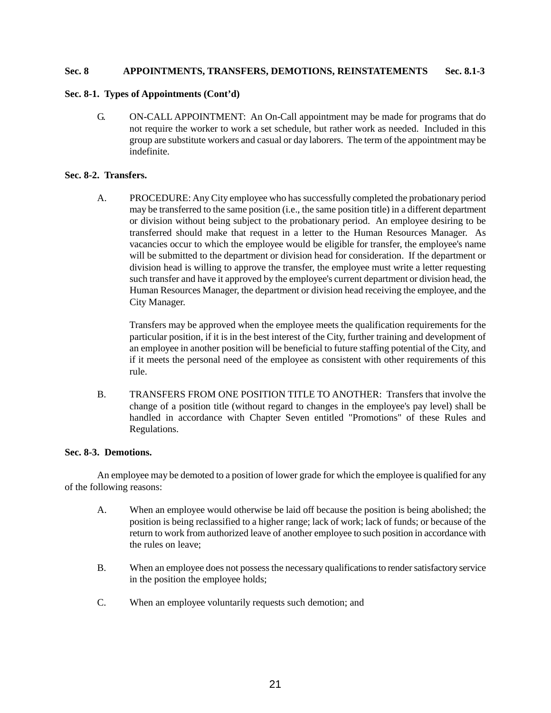# **Sec. 8 APPOINTMENTS, TRANSFERS, DEMOTIONS, REINSTATEMENTS Sec. 8.1-3**

# **Sec. 8-1. Types of Appointments (Cont'd)**

G. ON-CALL APPOINTMENT: An On-Call appointment may be made for programs that do not require the worker to work a set schedule, but rather work as needed. Included in this group are substitute workers and casual or day laborers. The term of the appointment may be indefinite.

# **Sec. 8-2. Transfers.**

A. PROCEDURE: Any City employee who has successfully completed the probationary period may be transferred to the same position (i.e., the same position title) in a different department or division without being subject to the probationary period. An employee desiring to be transferred should make that request in a letter to the Human Resources Manager. As vacancies occur to which the employee would be eligible for transfer, the employee's name will be submitted to the department or division head for consideration. If the department or division head is willing to approve the transfer, the employee must write a letter requesting such transfer and have it approved by the employee's current department or division head, the Human Resources Manager, the department or division head receiving the employee, and the City Manager.

Transfers may be approved when the employee meets the qualification requirements for the particular position, if it is in the best interest of the City, further training and development of an employee in another position will be beneficial to future staffing potential of the City, and if it meets the personal need of the employee as consistent with other requirements of this rule.

B. TRANSFERS FROM ONE POSITION TITLE TO ANOTHER: Transfers that involve the change of a position title (without regard to changes in the employee's pay level) shall be handled in accordance with Chapter Seven entitled "Promotions" of these Rules and Regulations.

# **Sec. 8-3. Demotions.**

An employee may be demoted to a position of lower grade for which the employee is qualified for any of the following reasons:

- A. When an employee would otherwise be laid off because the position is being abolished; the position is being reclassified to a higher range; lack of work; lack of funds; or because of the return to work from authorized leave of another employee to such position in accordance with the rules on leave;
- B. When an employee does not possess the necessary qualifications to render satisfactory service in the position the employee holds;
- C. When an employee voluntarily requests such demotion; and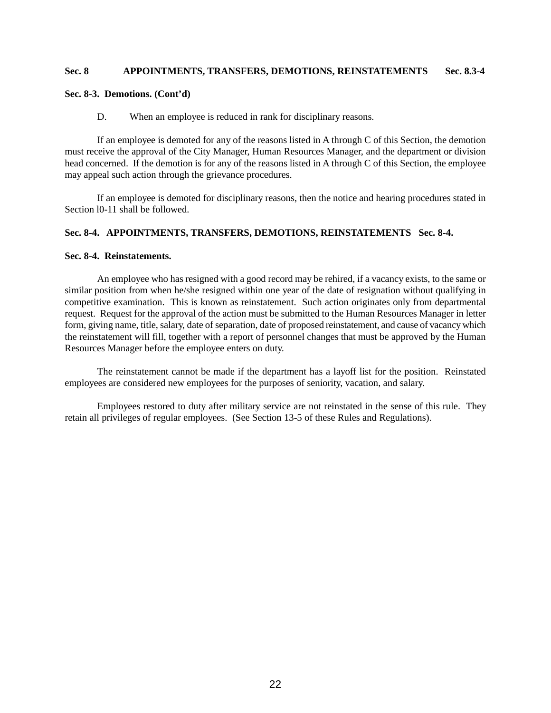# **Sec. 8 APPOINTMENTS, TRANSFERS, DEMOTIONS, REINSTATEMENTS Sec. 8.3-4**

# **Sec. 8-3. Demotions. (Cont'd)**

#### D. When an employee is reduced in rank for disciplinary reasons.

If an employee is demoted for any of the reasons listed in A through C of this Section, the demotion must receive the approval of the City Manager, Human Resources Manager, and the department or division head concerned. If the demotion is for any of the reasons listed in A through C of this Section, the employee may appeal such action through the grievance procedures.

If an employee is demoted for disciplinary reasons, then the notice and hearing procedures stated in Section l0-11 shall be followed.

# **Sec. 8-4. APPOINTMENTS, TRANSFERS, DEMOTIONS, REINSTATEMENTS Sec. 8-4.**

#### **Sec. 8-4. Reinstatements.**

An employee who has resigned with a good record may be rehired, if a vacancy exists, to the same or similar position from when he/she resigned within one year of the date of resignation without qualifying in competitive examination. This is known as reinstatement. Such action originates only from departmental request. Request for the approval of the action must be submitted to the Human Resources Manager in letter form, giving name, title, salary, date of separation, date of proposed reinstatement, and cause of vacancy which the reinstatement will fill, together with a report of personnel changes that must be approved by the Human Resources Manager before the employee enters on duty.

The reinstatement cannot be made if the department has a layoff list for the position. Reinstated employees are considered new employees for the purposes of seniority, vacation, and salary.

Employees restored to duty after military service are not reinstated in the sense of this rule. They retain all privileges of regular employees. (See Section 13-5 of these Rules and Regulations).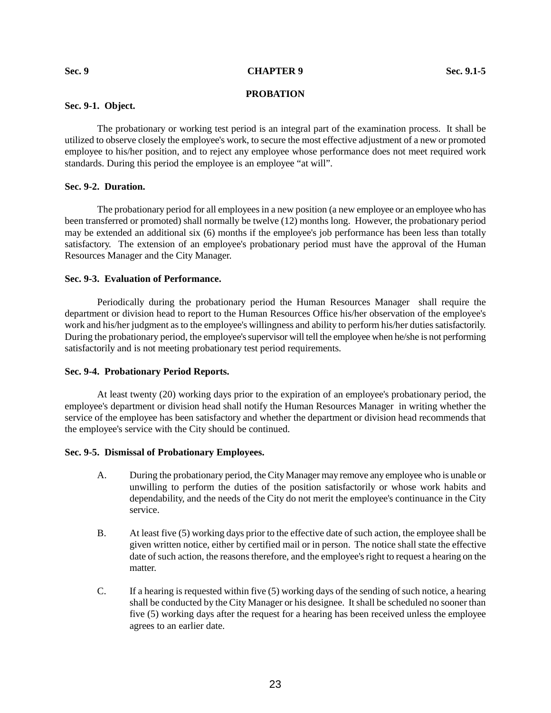#### **Sec. 9 CHAPTER 9 Sec. 9.1-5**

# **PROBATION**

# **Sec. 9-1. Object.**

The probationary or working test period is an integral part of the examination process. It shall be utilized to observe closely the employee's work, to secure the most effective adjustment of a new or promoted employee to his/her position, and to reject any employee whose performance does not meet required work standards. During this period the employee is an employee "at will".

# **Sec. 9-2. Duration.**

The probationary period for all employees in a new position (a new employee or an employee who has been transferred or promoted) shall normally be twelve (12) months long. However, the probationary period may be extended an additional six (6) months if the employee's job performance has been less than totally satisfactory. The extension of an employee's probationary period must have the approval of the Human Resources Manager and the City Manager.

# **Sec. 9-3. Evaluation of Performance.**

Periodically during the probationary period the Human Resources Manager shall require the department or division head to report to the Human Resources Office his/her observation of the employee's work and his/her judgment as to the employee's willingness and ability to perform his/her duties satisfactorily. During the probationary period, the employee's supervisor will tell the employee when he/she is not performing satisfactorily and is not meeting probationary test period requirements.

# **Sec. 9-4. Probationary Period Reports.**

At least twenty (20) working days prior to the expiration of an employee's probationary period, the employee's department or division head shall notify the Human Resources Manager in writing whether the service of the employee has been satisfactory and whether the department or division head recommends that the employee's service with the City should be continued.

# **Sec. 9-5. Dismissal of Probationary Employees.**

- A. During the probationary period, the City Manager may remove any employee who is unable or unwilling to perform the duties of the position satisfactorily or whose work habits and dependability, and the needs of the City do not merit the employee's continuance in the City service.
- B. At least five (5) working days prior to the effective date of such action, the employee shall be given written notice, either by certified mail or in person. The notice shall state the effective date of such action, the reasons therefore, and the employee's right to request a hearing on the matter.
- C. If a hearing is requested within five (5) working days of the sending of such notice, a hearing shall be conducted by the City Manager or his designee. It shall be scheduled no sooner than five (5) working days after the request for a hearing has been received unless the employee agrees to an earlier date.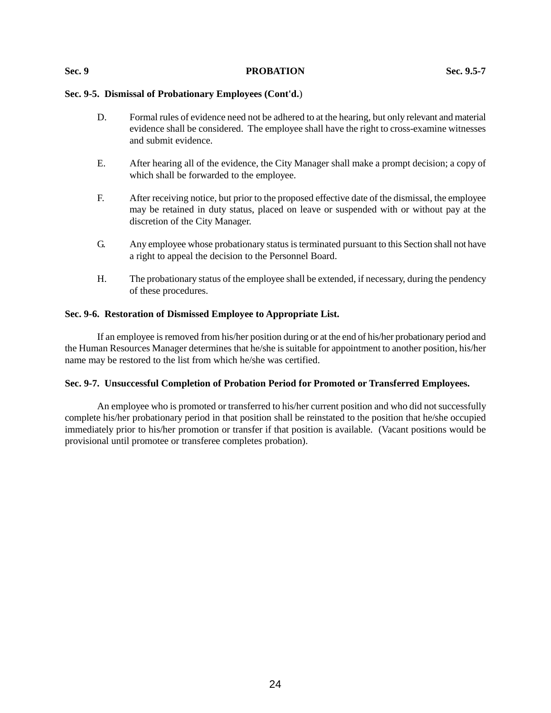#### **Sec. 9 PROBATION Sec. 9.5-7**

# **Sec. 9-5. Dismissal of Probationary Employees (Cont'd.**)

- D. Formal rules of evidence need not be adhered to at the hearing, but only relevant and material evidence shall be considered. The employee shall have the right to cross-examine witnesses and submit evidence.
- E. After hearing all of the evidence, the City Manager shall make a prompt decision; a copy of which shall be forwarded to the employee.
- F. After receiving notice, but prior to the proposed effective date of the dismissal, the employee may be retained in duty status, placed on leave or suspended with or without pay at the discretion of the City Manager.
- G. Any employee whose probationary status is terminated pursuant to this Section shall not have a right to appeal the decision to the Personnel Board.
- H. The probationary status of the employee shall be extended, if necessary, during the pendency of these procedures.

## **Sec. 9-6. Restoration of Dismissed Employee to Appropriate List.**

If an employee is removed from his/her position during or at the end of his/her probationary period and the Human Resources Manager determines that he/she is suitable for appointment to another position, his/her name may be restored to the list from which he/she was certified.

## **Sec. 9-7. Unsuccessful Completion of Probation Period for Promoted or Transferred Employees.**

An employee who is promoted or transferred to his/her current position and who did not successfully complete his/her probationary period in that position shall be reinstated to the position that he/she occupied immediately prior to his/her promotion or transfer if that position is available. (Vacant positions would be provisional until promotee or transferee completes probation).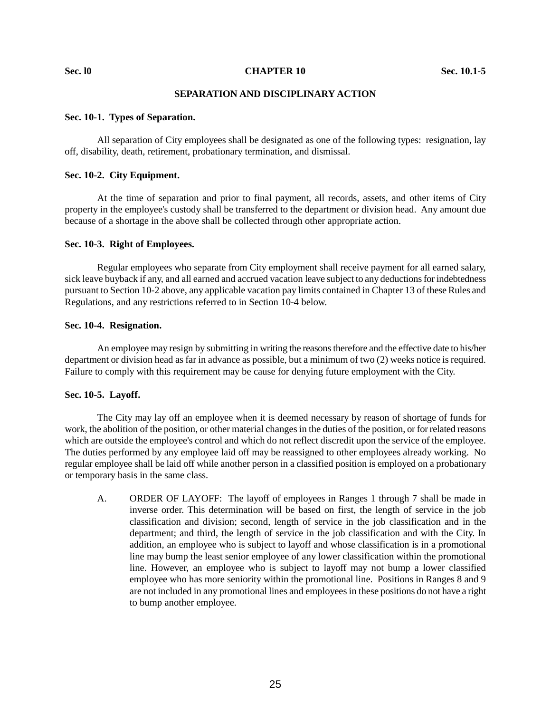**Sec. 10 Sec. 10.1-5 CHAPTER 10 Sec. 10.1-5** 

# **SEPARATION AND DISCIPLINARY ACTION**

#### **Sec. 10-1. Types of Separation.**

All separation of City employees shall be designated as one of the following types: resignation, lay off, disability, death, retirement, probationary termination, and dismissal.

#### **Sec. 10-2. City Equipment.**

At the time of separation and prior to final payment, all records, assets, and other items of City property in the employee's custody shall be transferred to the department or division head. Any amount due because of a shortage in the above shall be collected through other appropriate action.

# **Sec. 10-3. Right of Employees.**

Regular employees who separate from City employment shall receive payment for all earned salary, sick leave buyback if any, and all earned and accrued vacation leave subject to any deductions for indebtedness pursuant to Section 10-2 above, any applicable vacation pay limits contained in Chapter 13 of these Rules and Regulations, and any restrictions referred to in Section 10-4 below.

#### **Sec. 10-4. Resignation.**

An employee may resign by submitting in writing the reasons therefore and the effective date to his/her department or division head as far in advance as possible, but a minimum of two (2) weeks notice is required. Failure to comply with this requirement may be cause for denying future employment with the City.

## **Sec. 10-5. Layoff.**

The City may lay off an employee when it is deemed necessary by reason of shortage of funds for work, the abolition of the position, or other material changes in the duties of the position, or for related reasons which are outside the employee's control and which do not reflect discredit upon the service of the employee. The duties performed by any employee laid off may be reassigned to other employees already working. No regular employee shall be laid off while another person in a classified position is employed on a probationary or temporary basis in the same class.

A. ORDER OF LAYOFF: The layoff of employees in Ranges 1 through 7 shall be made in inverse order. This determination will be based on first, the length of service in the job classification and division; second, length of service in the job classification and in the department; and third, the length of service in the job classification and with the City. In addition, an employee who is subject to layoff and whose classification is in a promotional line may bump the least senior employee of any lower classification within the promotional line. However, an employee who is subject to layoff may not bump a lower classified employee who has more seniority within the promotional line. Positions in Ranges 8 and 9 are not included in any promotional lines and employees in these positions do not have a right to bump another employee.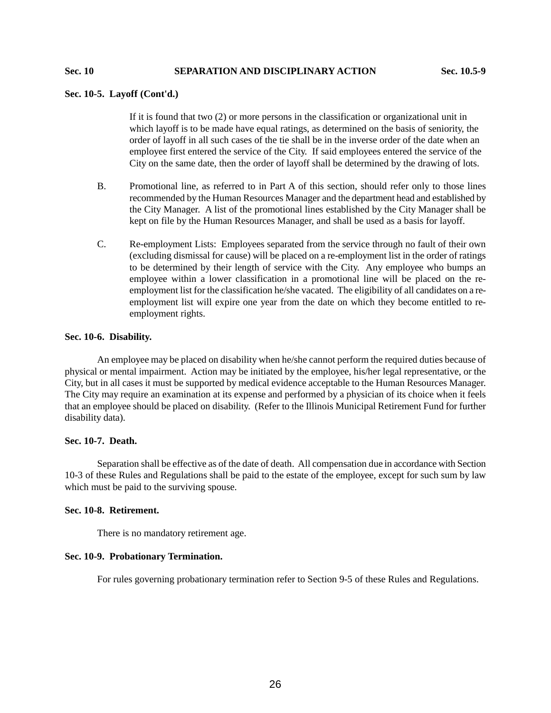# **Sec. 10 SEPARATION AND DISCIPLINARY ACTION Sec. 10.5-9**

# **Sec. 10-5. Layoff (Cont'd.)**

If it is found that two (2) or more persons in the classification or organizational unit in which layoff is to be made have equal ratings, as determined on the basis of seniority, the order of layoff in all such cases of the tie shall be in the inverse order of the date when an employee first entered the service of the City. If said employees entered the service of the City on the same date, then the order of layoff shall be determined by the drawing of lots.

- B. Promotional line, as referred to in Part A of this section, should refer only to those lines recommended by the Human Resources Manager and the department head and established by the City Manager. A list of the promotional lines established by the City Manager shall be kept on file by the Human Resources Manager, and shall be used as a basis for layoff.
- C. Re-employment Lists: Employees separated from the service through no fault of their own (excluding dismissal for cause) will be placed on a re-employment list in the order of ratings to be determined by their length of service with the City. Any employee who bumps an employee within a lower classification in a promotional line will be placed on the reemployment list for the classification he/she vacated. The eligibility of all candidates on a reemployment list will expire one year from the date on which they become entitled to reemployment rights.

#### **Sec. 10-6. Disability.**

An employee may be placed on disability when he/she cannot perform the required duties because of physical or mental impairment. Action may be initiated by the employee, his/her legal representative, or the City, but in all cases it must be supported by medical evidence acceptable to the Human Resources Manager. The City may require an examination at its expense and performed by a physician of its choice when it feels that an employee should be placed on disability. (Refer to the Illinois Municipal Retirement Fund for further disability data).

# **Sec. 10-7. Death.**

Separation shall be effective as of the date of death. All compensation due in accordance with Section 10-3 of these Rules and Regulations shall be paid to the estate of the employee, except for such sum by law which must be paid to the surviving spouse.

# **Sec. 10-8. Retirement.**

There is no mandatory retirement age.

## **Sec. 10-9. Probationary Termination.**

For rules governing probationary termination refer to Section 9-5 of these Rules and Regulations.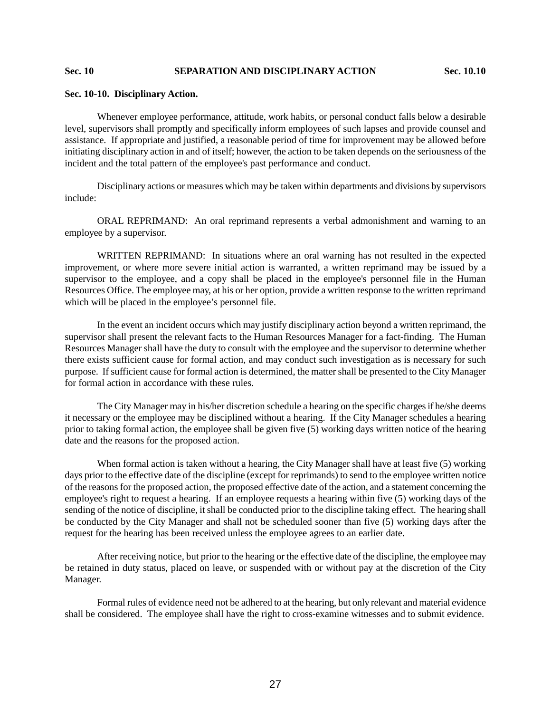# **Sec. 10 SEPARATION AND DISCIPLINARY ACTION Sec. 10.10**

#### **Sec. 10-10. Disciplinary Action.**

Whenever employee performance, attitude, work habits, or personal conduct falls below a desirable level, supervisors shall promptly and specifically inform employees of such lapses and provide counsel and assistance. If appropriate and justified, a reasonable period of time for improvement may be allowed before initiating disciplinary action in and of itself; however, the action to be taken depends on the seriousness of the incident and the total pattern of the employee's past performance and conduct.

Disciplinary actions or measures which may be taken within departments and divisions by supervisors include:

ORAL REPRIMAND: An oral reprimand represents a verbal admonishment and warning to an employee by a supervisor.

WRITTEN REPRIMAND: In situations where an oral warning has not resulted in the expected improvement, or where more severe initial action is warranted, a written reprimand may be issued by a supervisor to the employee, and a copy shall be placed in the employee's personnel file in the Human Resources Office. The employee may, at his or her option, provide a written response to the written reprimand which will be placed in the employee's personnel file.

In the event an incident occurs which may justify disciplinary action beyond a written reprimand, the supervisor shall present the relevant facts to the Human Resources Manager for a fact-finding. The Human Resources Manager shall have the duty to consult with the employee and the supervisor to determine whether there exists sufficient cause for formal action, and may conduct such investigation as is necessary for such purpose. If sufficient cause for formal action is determined, the matter shall be presented to the City Manager for formal action in accordance with these rules.

The City Manager may in his/her discretion schedule a hearing on the specific charges if he/she deems it necessary or the employee may be disciplined without a hearing. If the City Manager schedules a hearing prior to taking formal action, the employee shall be given five (5) working days written notice of the hearing date and the reasons for the proposed action.

When formal action is taken without a hearing, the City Manager shall have at least five (5) working days prior to the effective date of the discipline (except for reprimands) to send to the employee written notice of the reasons for the proposed action, the proposed effective date of the action, and a statement concerning the employee's right to request a hearing. If an employee requests a hearing within five (5) working days of the sending of the notice of discipline, it shall be conducted prior to the discipline taking effect. The hearing shall be conducted by the City Manager and shall not be scheduled sooner than five (5) working days after the request for the hearing has been received unless the employee agrees to an earlier date.

After receiving notice, but prior to the hearing or the effective date of the discipline, the employee may be retained in duty status, placed on leave, or suspended with or without pay at the discretion of the City Manager.

Formal rules of evidence need not be adhered to at the hearing, but only relevant and material evidence shall be considered. The employee shall have the right to cross-examine witnesses and to submit evidence.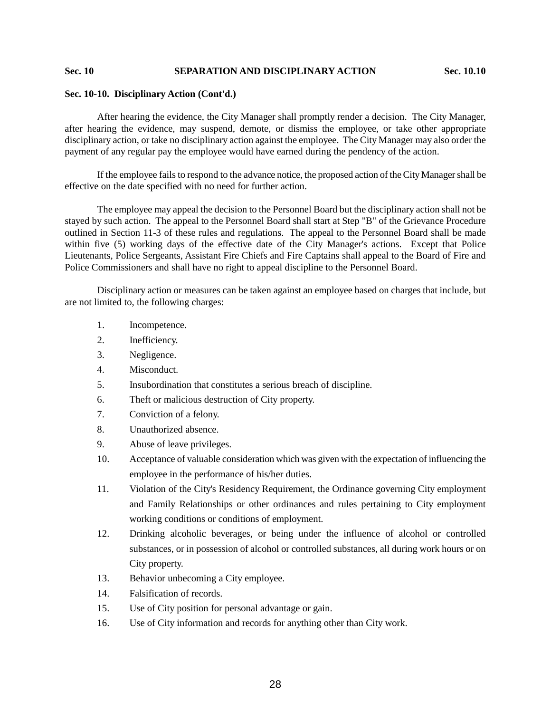# **Sec. 10 SEPARATION AND DISCIPLINARY ACTION Sec. 10.10**

# **Sec. 10-10. Disciplinary Action (Cont'd.)**

After hearing the evidence, the City Manager shall promptly render a decision. The City Manager, after hearing the evidence, may suspend, demote, or dismiss the employee, or take other appropriate disciplinary action, or take no disciplinary action against the employee. The City Manager may also order the payment of any regular pay the employee would have earned during the pendency of the action.

If the employee fails to respond to the advance notice, the proposed action of the City Manager shall be effective on the date specified with no need for further action.

The employee may appeal the decision to the Personnel Board but the disciplinary action shall not be stayed by such action. The appeal to the Personnel Board shall start at Step "B" of the Grievance Procedure outlined in Section 11-3 of these rules and regulations. The appeal to the Personnel Board shall be made within five (5) working days of the effective date of the City Manager's actions. Except that Police Lieutenants, Police Sergeants, Assistant Fire Chiefs and Fire Captains shall appeal to the Board of Fire and Police Commissioners and shall have no right to appeal discipline to the Personnel Board.

Disciplinary action or measures can be taken against an employee based on charges that include, but are not limited to, the following charges:

- 1. Incompetence.
- 2. Inefficiency.
- 3. Negligence.
- 4. Misconduct.
- 5. Insubordination that constitutes a serious breach of discipline.
- 6. Theft or malicious destruction of City property.
- 7. Conviction of a felony.
- 8. Unauthorized absence.
- 9. Abuse of leave privileges.
- 10. Acceptance of valuable consideration which was given with the expectation of influencing the employee in the performance of his/her duties.
- 11. Violation of the City's Residency Requirement, the Ordinance governing City employment and Family Relationships or other ordinances and rules pertaining to City employment working conditions or conditions of employment.
- 12. Drinking alcoholic beverages, or being under the influence of alcohol or controlled substances, or in possession of alcohol or controlled substances, all during work hours or on City property.
- 13. Behavior unbecoming a City employee.
- 14. Falsification of records.
- 15. Use of City position for personal advantage or gain.
- 16. Use of City information and records for anything other than City work.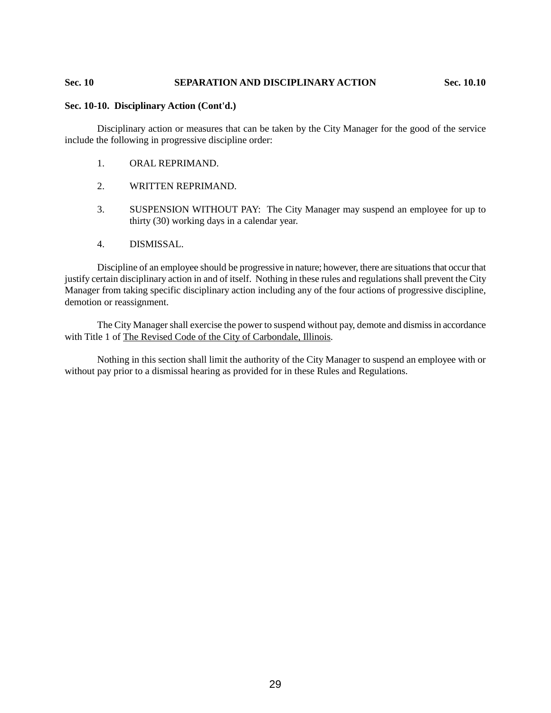# **Sec. 10 SEPARATION AND DISCIPLINARY ACTION Sec. 10.10**

#### **Sec. 10-10. Disciplinary Action (Cont'd.)**

Disciplinary action or measures that can be taken by the City Manager for the good of the service include the following in progressive discipline order:

- 1. ORAL REPRIMAND.
- 2. WRITTEN REPRIMAND.
- 3. SUSPENSION WITHOUT PAY: The City Manager may suspend an employee for up to thirty (30) working days in a calendar year.
- 4. DISMISSAL.

Discipline of an employee should be progressive in nature; however, there are situations that occur that justify certain disciplinary action in and of itself. Nothing in these rules and regulations shall prevent the City Manager from taking specific disciplinary action including any of the four actions of progressive discipline, demotion or reassignment.

The City Manager shall exercise the power to suspend without pay, demote and dismiss in accordance with Title 1 of The Revised Code of the City of Carbondale, Illinois.

Nothing in this section shall limit the authority of the City Manager to suspend an employee with or without pay prior to a dismissal hearing as provided for in these Rules and Regulations.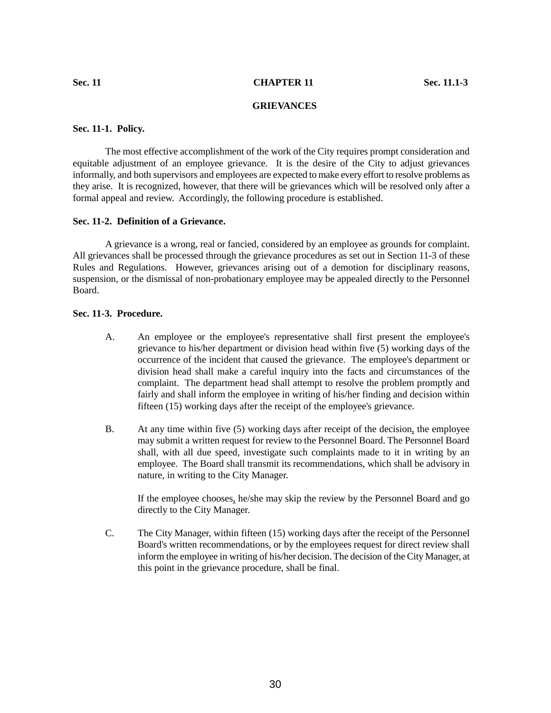# **Sec. 11 CHAPTER 11 Sec. 11.1-3**

# **GRIEVANCES**

# **Sec. 11-1. Policy.**

The most effective accomplishment of the work of the City requires prompt consideration and equitable adjustment of an employee grievance. It is the desire of the City to adjust grievances informally, and both supervisors and employees are expected to make every effort to resolve problems as they arise. It is recognized, however, that there will be grievances which will be resolved only after a formal appeal and review. Accordingly, the following procedure is established.

# **Sec. 11-2. Definition of a Grievance.**

A grievance is a wrong, real or fancied, considered by an employee as grounds for complaint. All grievances shall be processed through the grievance procedures as set out in Section 11-3 of these Rules and Regulations. However, grievances arising out of a demotion for disciplinary reasons, suspension, or the dismissal of non-probationary employee may be appealed directly to the Personnel Board.

# **Sec. 11-3. Procedure.**

- A. An employee or the employee's representative shall first present the employee's grievance to his/her department or division head within five (5) working days of the occurrence of the incident that caused the grievance. The employee's department or division head shall make a careful inquiry into the facts and circumstances of the complaint. The department head shall attempt to resolve the problem promptly and fairly and shall inform the employee in writing of his/her finding and decision within fifteen (15) working days after the receipt of the employee's grievance.
- B. At any time within five (5) working days after receipt of the decision, the employee may submit a written request for review to the Personnel Board. The Personnel Board shall, with all due speed, investigate such complaints made to it in writing by an employee. The Board shall transmit its recommendations, which shall be advisory in nature, in writing to the City Manager.

If the employee chooses, he/she may skip the review by the Personnel Board and go directly to the City Manager.

C. The City Manager, within fifteen (15) working days after the receipt of the Personnel Board's written recommendations, or by the employees request for direct review shall inform the employee in writing of his/her decision. The decision of the City Manager, at this point in the grievance procedure, shall be final.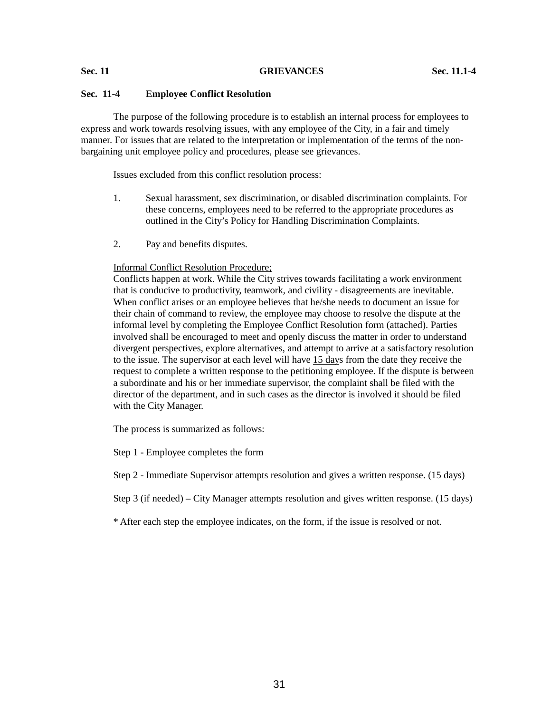#### **Sec. 11 GRIEVANCES Sec. 11.1-4**

# **Sec. 11-4 Employee Conflict Resolution**

The purpose of the following procedure is to establish an internal process for employees to express and work towards resolving issues, with any employee of the City, in a fair and timely manner. For issues that are related to the interpretation or implementation of the terms of the nonbargaining unit employee policy and procedures, please see grievances.

Issues excluded from this conflict resolution process:

- 1. Sexual harassment, sex discrimination, or disabled discrimination complaints. For these concerns, employees need to be referred to the appropriate procedures as outlined in the City's Policy for Handling Discrimination Complaints.
- 2. Pay and benefits disputes.

#### Informal Conflict Resolution Procedure;

Conflicts happen at work. While the City strives towards facilitating a work environment that is conducive to productivity, teamwork, and civility - disagreements are inevitable. When conflict arises or an employee believes that he/she needs to document an issue for their chain of command to review, the employee may choose to resolve the dispute at the informal level by completing the Employee Conflict Resolution form (attached). Parties involved shall be encouraged to meet and openly discuss the matter in order to understand divergent perspectives, explore alternatives, and attempt to arrive at a satisfactory resolution to the issue. The supervisor at each level will have 15 days from the date they receive the request to complete a written response to the petitioning employee. If the dispute is between a subordinate and his or her immediate supervisor, the complaint shall be filed with the director of the department, and in such cases as the director is involved it should be filed with the City Manager.

The process is summarized as follows:

Step 1 - Employee completes the form

Step 2 - Immediate Supervisor attempts resolution and gives a written response. (15 days)

Step 3 (if needed) – City Manager attempts resolution and gives written response. (15 days)

\* After each step the employee indicates, on the form, if the issue is resolved or not.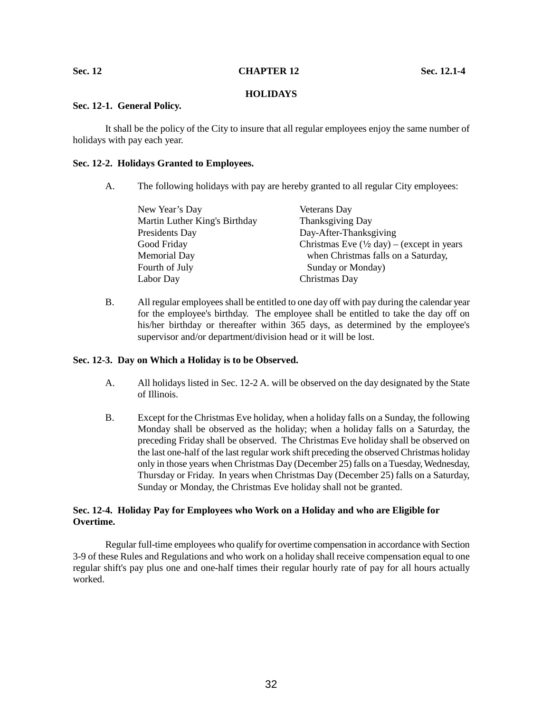#### **Sec. 12 CHAPTER 12 Sec. 12.1-4**

# **HOLIDAYS**

# **Sec. 12-1. General Policy.**

It shall be the policy of the City to insure that all regular employees enjoy the same number of holidays with pay each year.

# **Sec. 12-2. Holidays Granted to Employees.**

A. The following holidays with pay are hereby granted to all regular City employees:

| New Year's Day                | Veterans Day                                                         |
|-------------------------------|----------------------------------------------------------------------|
| Martin Luther King's Birthday | Thanksgiving Day                                                     |
| Presidents Day                | Day-After-Thanksgiving                                               |
| Good Friday                   | Christmas Eve $(\frac{1}{2} \text{ day}) - (\text{except in years})$ |
| Memorial Day                  | when Christmas falls on a Saturday,                                  |
| Fourth of July                | Sunday or Monday)                                                    |
| Labor Day                     | Christmas Day                                                        |

B. All regular employees shall be entitled to one day off with pay during the calendar year for the employee's birthday. The employee shall be entitled to take the day off on his/her birthday or thereafter within 365 days, as determined by the employee's supervisor and/or department/division head or it will be lost.

# **Sec. 12-3. Day on Which a Holiday is to be Observed.**

- A. All holidays listed in Sec. 12-2 A. will be observed on the day designated by the State of Illinois.
- B. Except for the Christmas Eve holiday, when a holiday falls on a Sunday, the following Monday shall be observed as the holiday; when a holiday falls on a Saturday, the preceding Friday shall be observed. The Christmas Eve holiday shall be observed on the last one-half of the last regular work shift preceding the observed Christmas holiday only in those years when Christmas Day (December 25) falls on a Tuesday, Wednesday, Thursday or Friday. In years when Christmas Day (December 25) falls on a Saturday, Sunday or Monday, the Christmas Eve holiday shall not be granted.

# **Sec. 12-4. Holiday Pay for Employees who Work on a Holiday and who are Eligible for Overtime.**

Regular full-time employees who qualify for overtime compensation in accordance with Section 3-9 of these Rules and Regulations and who work on a holiday shall receive compensation equal to one regular shift's pay plus one and one-half times their regular hourly rate of pay for all hours actually worked.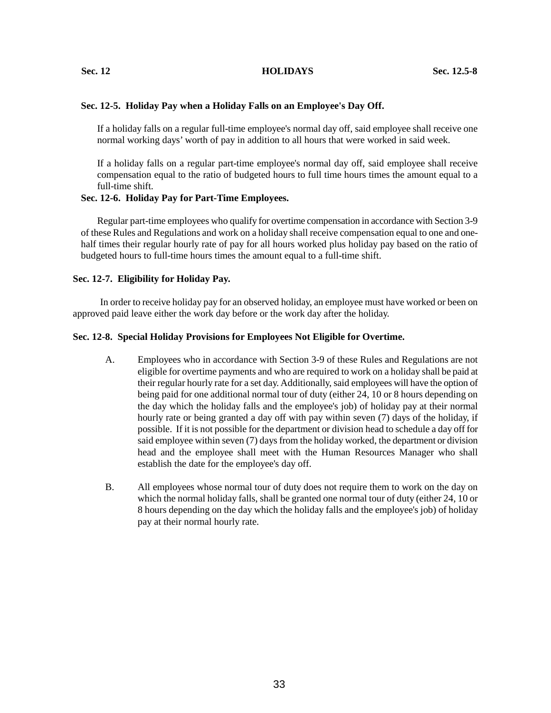### **Sec. 12 HOLIDAYS Sec. 12.5-8**

# **Sec. 12-5. Holiday Pay when a Holiday Falls on an Employee's Day Off.**

If a holiday falls on a regular full-time employee's normal day off, said employee shall receive one normal working days' worth of pay in addition to all hours that were worked in said week.

If a holiday falls on a regular part-time employee's normal day off, said employee shall receive compensation equal to the ratio of budgeted hours to full time hours times the amount equal to a full-time shift.

# **Sec. 12-6. Holiday Pay for Part-Time Employees.**

Regular part-time employees who qualify for overtime compensation in accordance with Section 3-9 of these Rules and Regulations and work on a holiday shall receive compensation equal to one and onehalf times their regular hourly rate of pay for all hours worked plus holiday pay based on the ratio of budgeted hours to full-time hours times the amount equal to a full-time shift.

# **Sec. 12-7. Eligibility for Holiday Pay.**

 In order to receive holiday pay for an observed holiday, an employee must have worked or been on approved paid leave either the work day before or the work day after the holiday.

# **Sec. 12-8. Special Holiday Provisions for Employees Not Eligible for Overtime.**

- A. Employees who in accordance with Section 3-9 of these Rules and Regulations are not eligible for overtime payments and who are required to work on a holiday shall be paid at their regular hourly rate for a set day. Additionally, said employees will have the option of being paid for one additional normal tour of duty (either 24, 10 or 8 hours depending on the day which the holiday falls and the employee's job) of holiday pay at their normal hourly rate or being granted a day off with pay within seven (7) days of the holiday, if possible. If it is not possible for the department or division head to schedule a day off for said employee within seven (7) days from the holiday worked, the department or division head and the employee shall meet with the Human Resources Manager who shall establish the date for the employee's day off.
- B. All employees whose normal tour of duty does not require them to work on the day on which the normal holiday falls, shall be granted one normal tour of duty (either 24, 10 or 8 hours depending on the day which the holiday falls and the employee's job) of holiday pay at their normal hourly rate.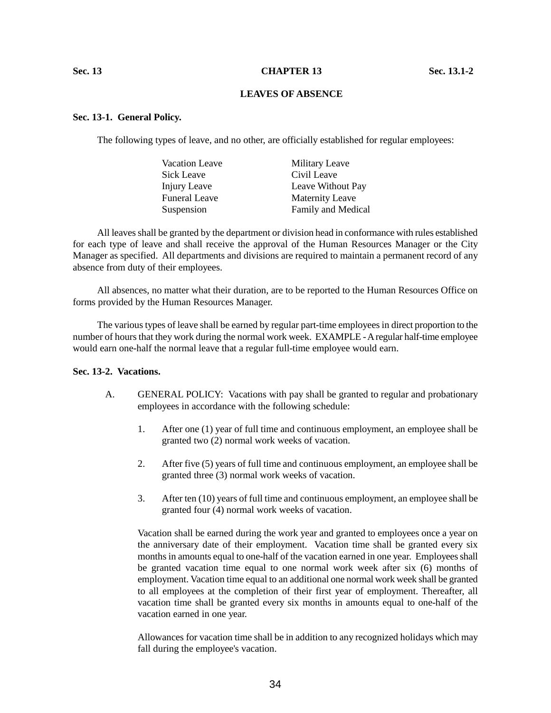#### **Sec. 13 CHAPTER 13 Sec. 13.1-2**

# **LEAVES OF ABSENCE**

## **Sec. 13-1. General Policy.**

The following types of leave, and no other, are officially established for regular employees:

| Vacation Leave       | Military Leave         |
|----------------------|------------------------|
| Sick Leave           | Civil Leave            |
| Injury Leave         | Leave Without Pay      |
| <b>Funeral Leave</b> | <b>Maternity Leave</b> |
| Suspension           | Family and Medical     |

All leaves shall be granted by the department or division head in conformance with rules established for each type of leave and shall receive the approval of the Human Resources Manager or the City Manager as specified. All departments and divisions are required to maintain a permanent record of any absence from duty of their employees.

All absences, no matter what their duration, are to be reported to the Human Resources Office on forms provided by the Human Resources Manager.

The various types of leave shall be earned by regular part-time employees in direct proportion to the number of hours that they work during the normal work week. EXAMPLE -A regular half-time employee would earn one-half the normal leave that a regular full-time employee would earn.

## **Sec. 13-2. Vacations.**

- A. GENERAL POLICY: Vacations with pay shall be granted to regular and probationary employees in accordance with the following schedule:
	- 1. After one (1) year of full time and continuous employment, an employee shall be granted two (2) normal work weeks of vacation.
	- 2. After five (5) years of full time and continuous employment, an employee shall be granted three (3) normal work weeks of vacation.
	- 3. After ten (10) years of full time and continuous employment, an employee shall be granted four (4) normal work weeks of vacation.

Vacation shall be earned during the work year and granted to employees once a year on the anniversary date of their employment. Vacation time shall be granted every six months in amounts equal to one-half of the vacation earned in one year. Employees shall be granted vacation time equal to one normal work week after six (6) months of employment. Vacation time equal to an additional one normal work week shall be granted to all employees at the completion of their first year of employment. Thereafter, all vacation time shall be granted every six months in amounts equal to one-half of the vacation earned in one year.

Allowances for vacation time shall be in addition to any recognized holidays which may fall during the employee's vacation.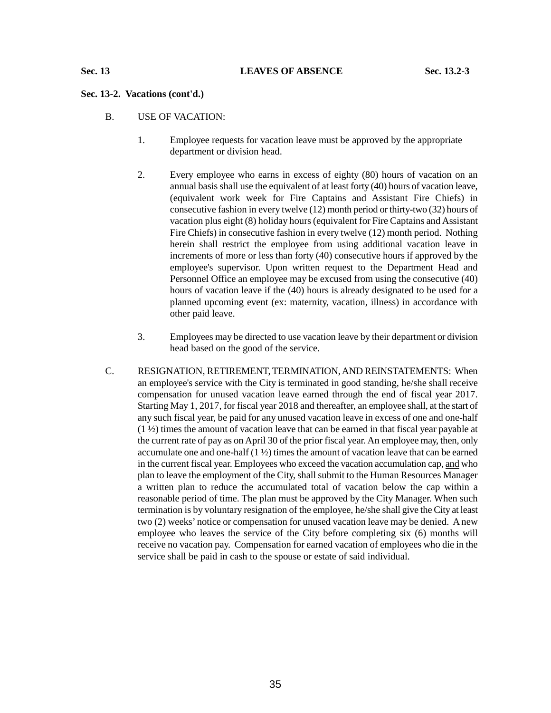# **Sec. 13-2. Vacations (cont'd.)**

- B. USE OF VACATION:
	- 1. Employee requests for vacation leave must be approved by the appropriate department or division head.
	- 2. Every employee who earns in excess of eighty (80) hours of vacation on an annual basis shall use the equivalent of at least forty (40) hours of vacation leave, (equivalent work week for Fire Captains and Assistant Fire Chiefs) in consecutive fashion in every twelve (12) month period or thirty-two (32) hours of vacation plus eight (8) holiday hours (equivalent for Fire Captains and Assistant Fire Chiefs) in consecutive fashion in every twelve (12) month period. Nothing herein shall restrict the employee from using additional vacation leave in increments of more or less than forty (40) consecutive hours if approved by the employee's supervisor. Upon written request to the Department Head and Personnel Office an employee may be excused from using the consecutive (40) hours of vacation leave if the (40) hours is already designated to be used for a planned upcoming event (ex: maternity, vacation, illness) in accordance with other paid leave.
	- 3. Employees may be directed to use vacation leave by their department or division head based on the good of the service.
- C. RESIGNATION, RETIREMENT, TERMINATION, AND REINSTATEMENTS: When an employee's service with the City is terminated in good standing, he/she shall receive compensation for unused vacation leave earned through the end of fiscal year 2017. Starting May 1, 2017, for fiscal year 2018 and thereafter, an employee shall, at the start of any such fiscal year, be paid for any unused vacation leave in excess of one and one-half  $(1 \frac{1}{2})$  times the amount of vacation leave that can be earned in that fiscal year payable at the current rate of pay as on April 30 of the prior fiscal year. An employee may, then, only accumulate one and one-half  $(1 \frac{1}{2})$  times the amount of vacation leave that can be earned in the current fiscal year. Employees who exceed the vacation accumulation cap, and who plan to leave the employment of the City, shall submit to the Human Resources Manager a written plan to reduce the accumulated total of vacation below the cap within a reasonable period of time. The plan must be approved by the City Manager. When such termination is by voluntary resignation of the employee, he/she shall give the City at least two (2) weeks' notice or compensation for unused vacation leave may be denied. A new employee who leaves the service of the City before completing six (6) months will receive no vacation pay. Compensation for earned vacation of employees who die in the service shall be paid in cash to the spouse or estate of said individual.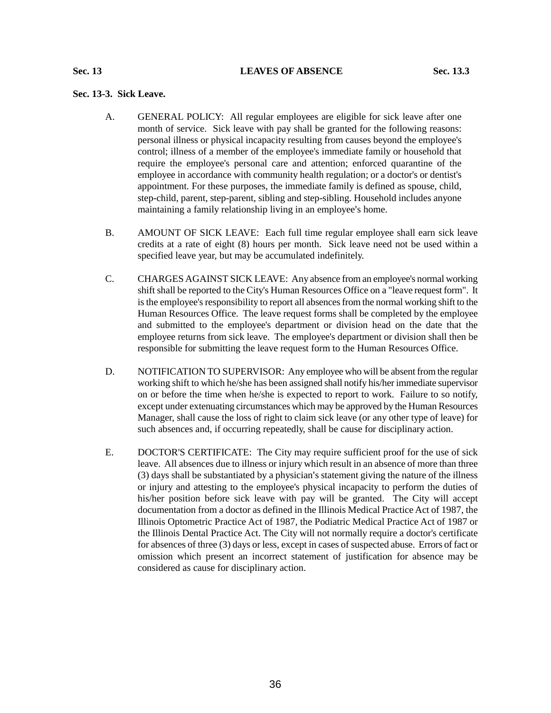#### **Sec. 13 LEAVES OF ABSENCE Sec. 13.3**

# **Sec. 13-3. Sick Leave.**

- A. GENERAL POLICY: All regular employees are eligible for sick leave after one month of service. Sick leave with pay shall be granted for the following reasons: personal illness or physical incapacity resulting from causes beyond the employee's control; illness of a member of the employee's immediate family or household that require the employee's personal care and attention; enforced quarantine of the employee in accordance with community health regulation; or a doctor's or dentist's appointment. For these purposes, the immediate family is defined as spouse, child, step-child, parent, step-parent, sibling and step-sibling. Household includes anyone maintaining a family relationship living in an employee's home.
- B. AMOUNT OF SICK LEAVE: Each full time regular employee shall earn sick leave credits at a rate of eight (8) hours per month. Sick leave need not be used within a specified leave year, but may be accumulated indefinitely.
- C. CHARGES AGAINST SICK LEAVE: Any absence from an employee's normal working shift shall be reported to the City's Human Resources Office on a "leave request form". It is the employee's responsibility to report all absences from the normal working shift to the Human Resources Office. The leave request forms shall be completed by the employee and submitted to the employee's department or division head on the date that the employee returns from sick leave. The employee's department or division shall then be responsible for submitting the leave request form to the Human Resources Office.
- D. NOTIFICATION TO SUPERVISOR: Any employee who will be absent from the regular working shift to which he/she has been assigned shall notify his/her immediate supervisor on or before the time when he/she is expected to report to work. Failure to so notify, except under extenuating circumstances which may be approved by the Human Resources Manager, shall cause the loss of right to claim sick leave (or any other type of leave) for such absences and, if occurring repeatedly, shall be cause for disciplinary action.
- E. DOCTOR'S CERTIFICATE: The City may require sufficient proof for the use of sick leave. All absences due to illness or injury which result in an absence of more than three (3) days shall be substantiated by a physician's statement giving the nature of the illness or injury and attesting to the employee's physical incapacity to perform the duties of his/her position before sick leave with pay will be granted. The City will accept documentation from a doctor as defined in the Illinois Medical Practice Act of 1987, the Illinois Optometric Practice Act of 1987, the Podiatric Medical Practice Act of 1987 or the Illinois Dental Practice Act. The City will not normally require a doctor's certificate for absences of three (3) days or less, except in cases of suspected abuse. Errors of fact or omission which present an incorrect statement of justification for absence may be considered as cause for disciplinary action.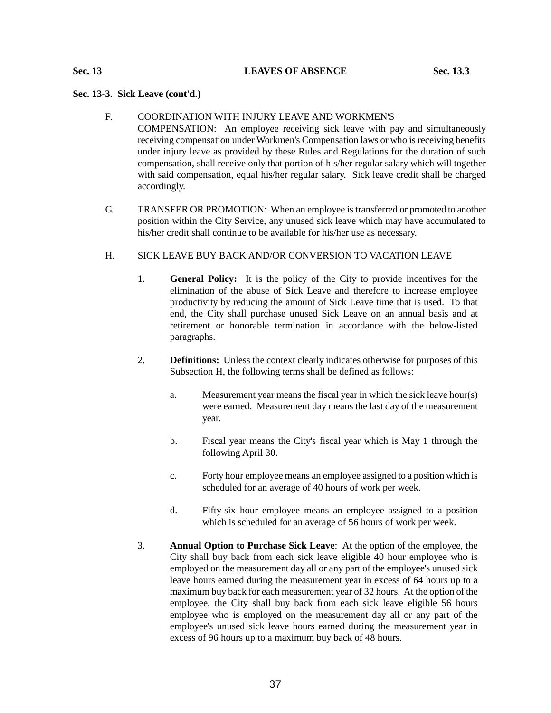## **Sec. 13 LEAVES OF ABSENCE Sec. 13.3**

# **Sec. 13-3. Sick Leave (cont'd.)**

# F. COORDINATION WITH INJURY LEAVE AND WORKMEN'S

COMPENSATION: An employee receiving sick leave with pay and simultaneously receiving compensation under Workmen's Compensation laws or who is receiving benefits under injury leave as provided by these Rules and Regulations for the duration of such compensation, shall receive only that portion of his/her regular salary which will together with said compensation, equal his/her regular salary. Sick leave credit shall be charged accordingly.

G. TRANSFER OR PROMOTION: When an employee is transferred or promoted to another position within the City Service, any unused sick leave which may have accumulated to his/her credit shall continue to be available for his/her use as necessary.

# H. SICK LEAVE BUY BACK AND/OR CONVERSION TO VACATION LEAVE

- 1. **General Policy:** It is the policy of the City to provide incentives for the elimination of the abuse of Sick Leave and therefore to increase employee productivity by reducing the amount of Sick Leave time that is used. To that end, the City shall purchase unused Sick Leave on an annual basis and at retirement or honorable termination in accordance with the below-listed paragraphs.
- 2. **Definitions:** Unless the context clearly indicates otherwise for purposes of this Subsection H, the following terms shall be defined as follows:
	- a. Measurement year means the fiscal year in which the sick leave hour(s) were earned. Measurement day means the last day of the measurement year.
	- b. Fiscal year means the City's fiscal year which is May 1 through the following April 30.
	- c. Forty hour employee means an employee assigned to a position which is scheduled for an average of 40 hours of work per week.
	- d. Fifty-six hour employee means an employee assigned to a position which is scheduled for an average of 56 hours of work per week.
- 3. **Annual Option to Purchase Sick Leave**: At the option of the employee, the City shall buy back from each sick leave eligible 40 hour employee who is employed on the measurement day all or any part of the employee's unused sick leave hours earned during the measurement year in excess of 64 hours up to a maximum buy back for each measurement year of 32 hours. At the option of the employee, the City shall buy back from each sick leave eligible 56 hours employee who is employed on the measurement day all or any part of the employee's unused sick leave hours earned during the measurement year in excess of 96 hours up to a maximum buy back of 48 hours.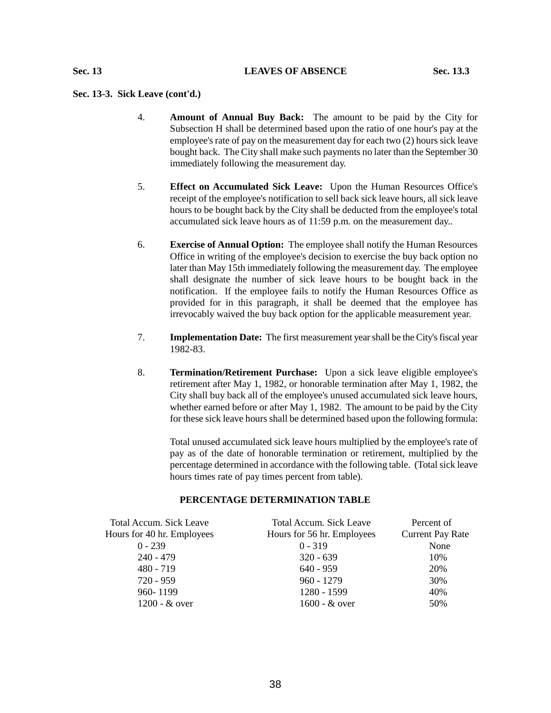# **Sec. 13-3. Sick Leave (cont'd.)**

- 4. **Amount of Annual Buy Back:** The amount to be paid by the City for Subsection H shall be determined based upon the ratio of one hour's pay at the employee's rate of pay on the measurement day for each two (2) hours sick leave bought back. The City shall make such payments no later than the September 30 immediately following the measurement day.
- 5. **Effect on Accumulated Sick Leave:** Upon the Human Resources Office's receipt of the employee's notification to sell back sick leave hours, all sick leave hours to be bought back by the City shall be deducted from the employee's total accumulated sick leave hours as of 11:59 p.m. on the measurement day..
- 6. **Exercise of Annual Option:** The employee shall notify the Human Resources Office in writing of the employee's decision to exercise the buy back option no later than May 15th immediately following the measurement day. The employee shall designate the number of sick leave hours to be bought back in the notification. If the employee fails to notify the Human Resources Office as provided for in this paragraph, it shall be deemed that the employee has irrevocably waived the buy back option for the applicable measurement year.
- 7. **Implementation Date:** The first measurement year shall be the City's fiscal year 1982-83.
- 8. **Termination/Retirement Purchase:** Upon a sick leave eligible employee's retirement after May 1, 1982, or honorable termination after May 1, 1982, the City shall buy back all of the employee's unused accumulated sick leave hours, whether earned before or after May 1, 1982. The amount to be paid by the City for these sick leave hours shall be determined based upon the following formula:

Total unused accumulated sick leave hours multiplied by the employee's rate of pay as of the date of honorable termination or retirement, multiplied by the percentage determined in accordance with the following table. (Total sick leave hours times rate of pay times percent from table).

# **PERCENTAGE DETERMINATION TABLE**

| Total Accum. Sick Leave    | <b>Total Accum. Sick Leave</b> | Percent of              |
|----------------------------|--------------------------------|-------------------------|
| Hours for 40 hr. Employees | Hours for 56 hr. Employees     | <b>Current Pay Rate</b> |
| $0 - 239$                  | $0 - 319$                      | None                    |
| $240 - 479$                | $320 - 639$                    | 10%                     |
| $480 - 719$                | $640 - 959$                    | 20%                     |
| $720 - 959$                | $960 - 1279$                   | 30%                     |
| 960-1199                   | 1280 - 1599                    | 40%                     |
| $1200 - \&$ over           | 1600 - & over                  | 50%                     |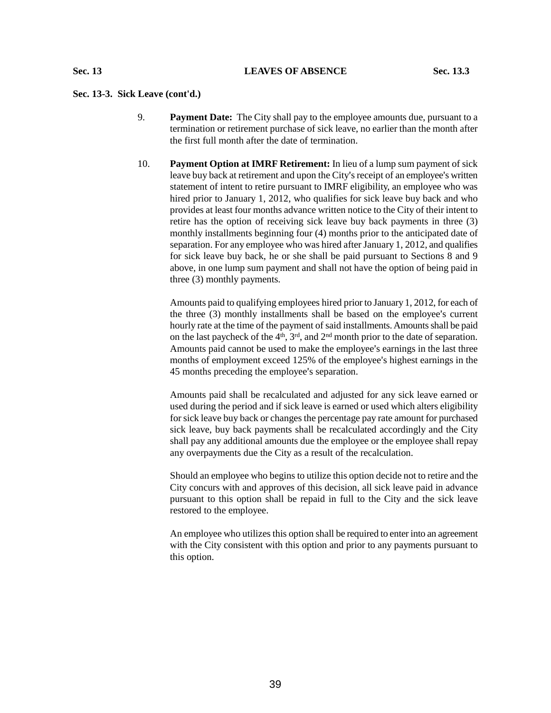# **Sec. 13-3. Sick Leave (cont'd.)**

- 9. **Payment Date:** The City shall pay to the employee amounts due, pursuant to a termination or retirement purchase of sick leave, no earlier than the month after the first full month after the date of termination.
- 10. **Payment Option at IMRF Retirement:** In lieu of a lump sum payment of sick leave buy back at retirement and upon the City's receipt of an employee's written statement of intent to retire pursuant to IMRF eligibility, an employee who was hired prior to January 1, 2012, who qualifies for sick leave buy back and who provides at least four months advance written notice to the City of their intent to retire has the option of receiving sick leave buy back payments in three (3) monthly installments beginning four (4) months prior to the anticipated date of separation. For any employee who was hired after January 1, 2012, and qualifies for sick leave buy back, he or she shall be paid pursuant to Sections 8 and 9 above, in one lump sum payment and shall not have the option of being paid in three (3) monthly payments.

Amounts paid to qualifying employees hired prior to January 1, 2012, for each of the three  $(3)$  monthly installments shall be based on the employee's current hourly rate at the time of the payment of said installments. Amounts shall be paid on the last paycheck of the  $4<sup>th</sup>$ ,  $3<sup>rd</sup>$ , and  $2<sup>nd</sup>$  month prior to the date of separation. Amounts paid cannot be used to make the employee's earnings in the last three months of employment exceed 125% of the employee's highest earnings in the 45 months preceding the employee's separation.

Amounts paid shall be recalculated and adjusted for any sick leave earned or used during the period and if sick leave is earned or used which alters eligibility for sick leave buy back or changes the percentage pay rate amount for purchased sick leave, buy back payments shall be recalculated accordingly and the City shall pay any additional amounts due the employee or the employee shall repay any overpayments due the City as a result of the recalculation.

Should an employee who begins to utilize this option decide not to retire and the City concurs with and approves of this decision, all sick leave paid in advance pursuant to this option shall be repaid in full to the City and the sick leave restored to the employee.

An employee who utilizes this option shall be required to enter into an agreement with the City consistent with this option and prior to any payments pursuant to this option.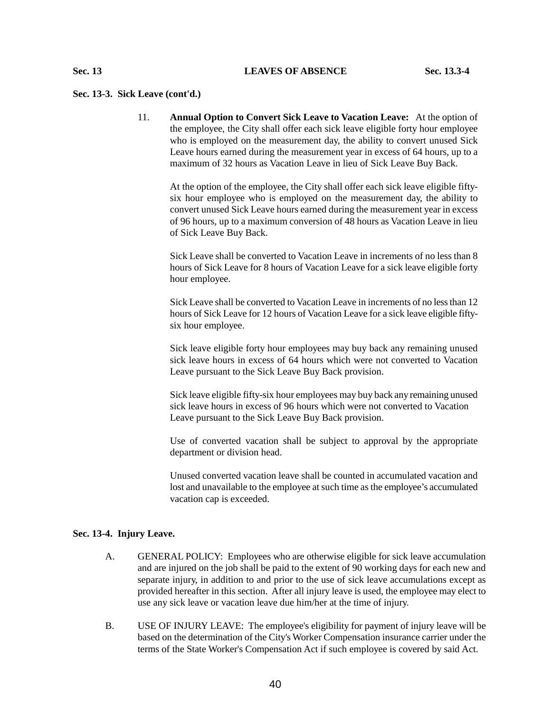#### **Sec. 13-3. Sick Leave (cont'd.)**

11. **Annual Option to Convert Sick Leave to Vacation Leave:** At the option of the employee, the City shall offer each sick leave eligible forty hour employee who is employed on the measurement day, the ability to convert unused Sick Leave hours earned during the measurement year in excess of 64 hours, up to a maximum of 32 hours as Vacation Leave in lieu of Sick Leave Buy Back.

At the option of the employee, the City shall offer each sick leave eligible fiftysix hour employee who is employed on the measurement day, the ability to convert unused Sick Leave hours earned during the measurement year in excess of 96 hours, up to a maximum conversion of 48 hours as Vacation Leave in lieu of Sick Leave Buy Back.

Sick Leave shall be converted to Vacation Leave in increments of no less than 8 hours of Sick Leave for 8 hours of Vacation Leave for a sick leave eligible forty hour employee.

Sick Leave shall be converted to Vacation Leave in increments of no less than 12 hours of Sick Leave for 12 hours of Vacation Leave for a sick leave eligible fiftysix hour employee.

Sick leave eligible forty hour employees may buy back any remaining unused sick leave hours in excess of 64 hours which were not converted to Vacation Leave pursuant to the Sick Leave Buy Back provision.

Sick leave eligible fifty-six hour employees may buy back any remaining unused sick leave hours in excess of 96 hours which were not converted to Vacation Leave pursuant to the Sick Leave Buy Back provision.

Use of converted vacation shall be subject to approval by the appropriate department or division head.

Unused converted vacation leave shall be counted in accumulated vacation and lost and unavailable to the employee at such time as the employee's accumulated vacation cap is exceeded.

#### **Sec. 13-4. Injury Leave.**

- A. GENERAL POLICY: Employees who are otherwise eligible for sick leave accumulation and are injured on the job shall be paid to the extent of 90 working days for each new and separate injury, in addition to and prior to the use of sick leave accumulations except as provided hereafter in this section. After all injury leave is used, the employee may elect to use any sick leave or vacation leave due him/her at the time of injury.
- B. USE OF INJURY LEAVE: The employee's eligibility for payment of injury leave will be based on the determination of the City's Worker Compensation insurance carrier under the terms of the State Worker's Compensation Act if such employee is covered by said Act.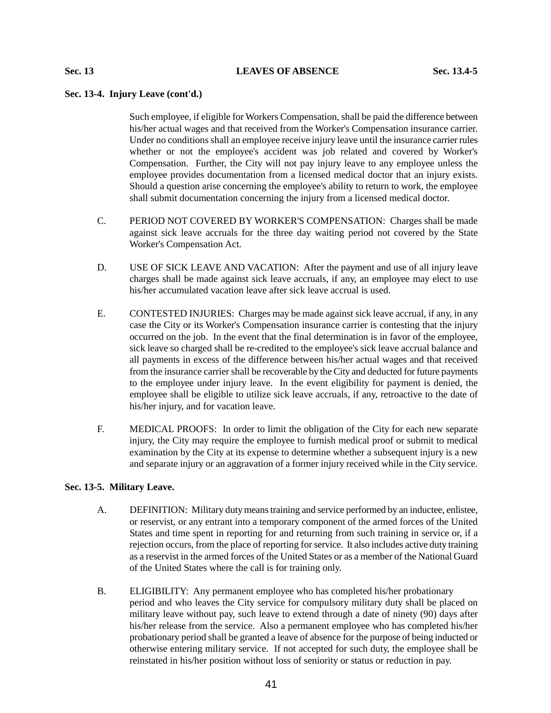# **Sec. 13-4. Injury Leave (cont'd.)**

Such employee, if eligible for Workers Compensation, shall be paid the difference between his/her actual wages and that received from the Worker's Compensation insurance carrier. Under no conditions shall an employee receive injury leave until the insurance carrier rules whether or not the employee's accident was job related and covered by Worker's Compensation. Further, the City will not pay injury leave to any employee unless the employee provides documentation from a licensed medical doctor that an injury exists. Should a question arise concerning the employee's ability to return to work, the employee shall submit documentation concerning the injury from a licensed medical doctor.

- C. PERIOD NOT COVERED BY WORKER'S COMPENSATION: Charges shall be made against sick leave accruals for the three day waiting period not covered by the State Worker's Compensation Act.
- D. USE OF SICK LEAVE AND VACATION: After the payment and use of all injury leave charges shall be made against sick leave accruals, if any, an employee may elect to use his/her accumulated vacation leave after sick leave accrual is used.
- E. CONTESTED INJURIES: Charges may be made against sick leave accrual, if any, in any case the City or its Worker's Compensation insurance carrier is contesting that the injury occurred on the job. In the event that the final determination is in favor of the employee, sick leave so charged shall be re-credited to the employee's sick leave accrual balance and all payments in excess of the difference between his/her actual wages and that received from the insurance carrier shall be recoverable by the City and deducted for future payments to the employee under injury leave. In the event eligibility for payment is denied, the employee shall be eligible to utilize sick leave accruals, if any, retroactive to the date of his/her injury, and for vacation leave.
- F. MEDICAL PROOFS: In order to limit the obligation of the City for each new separate injury, the City may require the employee to furnish medical proof or submit to medical examination by the City at its expense to determine whether a subsequent injury is a new and separate injury or an aggravation of a former injury received while in the City service.

## **Sec. 13-5. Military Leave.**

- A. DEFINITION: Military duty means training and service performed by an inductee, enlistee, or reservist, or any entrant into a temporary component of the armed forces of the United States and time spent in reporting for and returning from such training in service or, if a rejection occurs, from the place of reporting for service. It also includes active duty training as a reservist in the armed forces of the United States or as a member of the National Guard of the United States where the call is for training only.
- B. ELIGIBILITY: Any permanent employee who has completed his/her probationary period and who leaves the City service for compulsory military duty shall be placed on military leave without pay, such leave to extend through a date of ninety (90) days after his/her release from the service. Also a permanent employee who has completed his/her probationary period shall be granted a leave of absence for the purpose of being inducted or otherwise entering military service. If not accepted for such duty, the employee shall be reinstated in his/her position without loss of seniority or status or reduction in pay.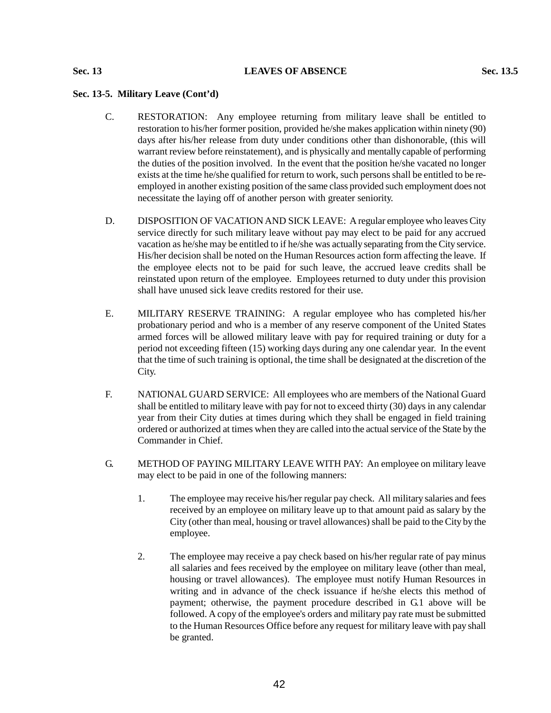# **Sec. 13 LEAVES OF ABSENCE Sec. 13.5**

# **Sec. 13-5. Military Leave (Cont'd)**

- C. RESTORATION: Any employee returning from military leave shall be entitled to restoration to his/her former position, provided he/she makes application within ninety (90) days after his/her release from duty under conditions other than dishonorable, (this will warrant review before reinstatement), and is physically and mentally capable of performing the duties of the position involved. In the event that the position he/she vacated no longer exists at the time he/she qualified for return to work, such persons shall be entitled to be reemployed in another existing position of the same class provided such employment does not necessitate the laying off of another person with greater seniority.
- D. DISPOSITION OF VACATION AND SICK LEAVE: A regular employee who leaves City service directly for such military leave without pay may elect to be paid for any accrued vacation as he/she may be entitled to if he/she was actually separating from the City service. His/her decision shall be noted on the Human Resources action form affecting the leave. If the employee elects not to be paid for such leave, the accrued leave credits shall be reinstated upon return of the employee. Employees returned to duty under this provision shall have unused sick leave credits restored for their use.
- E. MILITARY RESERVE TRAINING: A regular employee who has completed his/her probationary period and who is a member of any reserve component of the United States armed forces will be allowed military leave with pay for required training or duty for a period not exceeding fifteen (15) working days during any one calendar year. In the event that the time of such training is optional, the time shall be designated at the discretion of the City.
- F. NATIONAL GUARD SERVICE: All employees who are members of the National Guard shall be entitled to military leave with pay for not to exceed thirty (30) days in any calendar year from their City duties at times during which they shall be engaged in field training ordered or authorized at times when they are called into the actual service of the State by the Commander in Chief.
- G. METHOD OF PAYING MILITARY LEAVE WITH PAY: An employee on military leave may elect to be paid in one of the following manners:
	- 1. The employee may receive his/her regular pay check. All military salaries and fees received by an employee on military leave up to that amount paid as salary by the City (other than meal, housing or travel allowances) shall be paid to the City by the employee.
	- 2. The employee may receive a pay check based on his/her regular rate of pay minus all salaries and fees received by the employee on military leave (other than meal, housing or travel allowances). The employee must notify Human Resources in writing and in advance of the check issuance if he/she elects this method of payment; otherwise, the payment procedure described in G.1 above will be followed. A copy of the employee's orders and military pay rate must be submitted to the Human Resources Office before any request for military leave with pay shall be granted.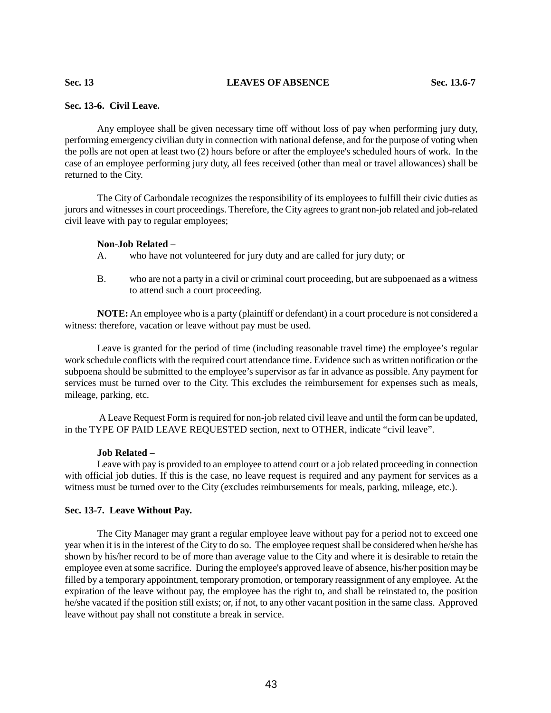# **Sec. 13 LEAVES OF ABSENCE Sec. 13.6-7**

# **Sec. 13-6. Civil Leave.**

Any employee shall be given necessary time off without loss of pay when performing jury duty, performing emergency civilian duty in connection with national defense, and for the purpose of voting when the polls are not open at least two (2) hours before or after the employee's scheduled hours of work. In the case of an employee performing jury duty, all fees received (other than meal or travel allowances) shall be returned to the City.

The City of Carbondale recognizes the responsibility of its employees to fulfill their civic duties as jurors and witnesses in court proceedings. Therefore, the City agrees to grant non-job related and job-related civil leave with pay to regular employees;

## **Non-Job Related –**

A. who have not volunteered for jury duty and are called for jury duty; or

B. who are not a party in a civil or criminal court proceeding, but are subpoenaed as a witness to attend such a court proceeding.

**NOTE:** An employee who is a party (plaintiff or defendant) in a court procedure is not considered a witness: therefore, vacation or leave without pay must be used.

Leave is granted for the period of time (including reasonable travel time) the employee's regular work schedule conflicts with the required court attendance time. Evidence such as written notification or the subpoena should be submitted to the employee's supervisor as far in advance as possible. Any payment for services must be turned over to the City. This excludes the reimbursement for expenses such as meals, mileage, parking, etc.

A Leave Request Form is required for non-job related civil leave and until the form can be updated, in the TYPE OF PAID LEAVE REQUESTED section, next to OTHER, indicate "civil leave".

# **Job Related –**

Leave with pay is provided to an employee to attend court or a job related proceeding in connection with official job duties. If this is the case, no leave request is required and any payment for services as a witness must be turned over to the City (excludes reimbursements for meals, parking, mileage, etc.).

# **Sec. 13-7. Leave Without Pay.**

The City Manager may grant a regular employee leave without pay for a period not to exceed one year when it is in the interest of the City to do so. The employee request shall be considered when he/she has shown by his/her record to be of more than average value to the City and where it is desirable to retain the employee even at some sacrifice. During the employee's approved leave of absence, his/her position may be filled by a temporary appointment, temporary promotion, or temporary reassignment of any employee. At the expiration of the leave without pay, the employee has the right to, and shall be reinstated to, the position he/she vacated if the position still exists; or, if not, to any other vacant position in the same class. Approved leave without pay shall not constitute a break in service.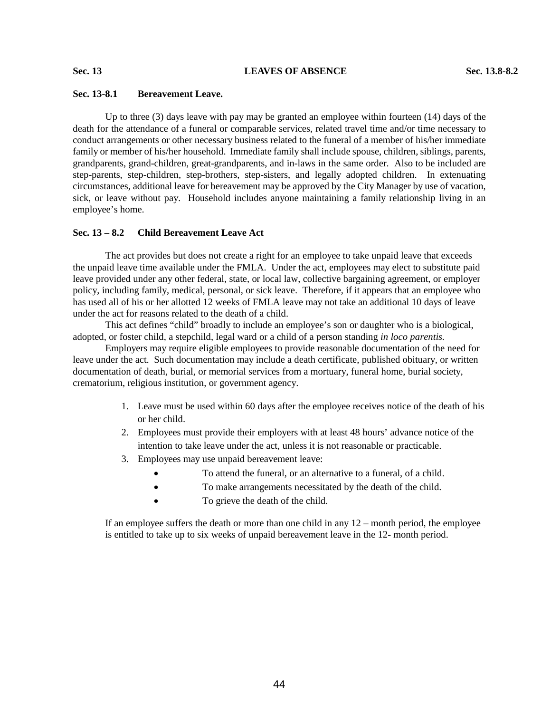# **Sec. 13-8.1 Bereavement Leave.**

Up to three (3) days leave with pay may be granted an employee within fourteen (14) days of the death for the attendance of a funeral or comparable services, related travel time and/or time necessary to conduct arrangements or other necessary business related to the funeral of a member of his/her immediate family or member of his/her household. Immediate family shall include spouse, children, siblings, parents, grandparents, grand-children, great-grandparents, and in-laws in the same order. Also to be included are step-parents, step-children, step-brothers, step-sisters, and legally adopted children. In extenuating circumstances, additional leave for bereavement may be approved by the City Manager by use of vacation, sick, or leave without pay. Household includes anyone maintaining a family relationship living in an employee's home.

# **Sec. 13 – 8.2 Child Bereavement Leave Act**

The act provides but does not create a right for an employee to take unpaid leave that exceeds the unpaid leave time available under the FMLA. Under the act, employees may elect to substitute paid leave provided under any other federal, state, or local law, collective bargaining agreement, or employer policy, including family, medical, personal, or sick leave. Therefore, if it appears that an employee who has used all of his or her allotted 12 weeks of FMLA leave may not take an additional 10 days of leave under the act for reasons related to the death of a child.

This act defines "child" broadly to include an employee's son or daughter who is a biological, adopted, or foster child, a stepchild, legal ward or a child of a person standing *in loco parentis.* 

Employers may require eligible employees to provide reasonable documentation of the need for leave under the act. Such documentation may include a death certificate, published obituary, or written documentation of death, burial, or memorial services from a mortuary, funeral home, burial society, crematorium, religious institution, or government agency.

- 1. Leave must be used within 60 days after the employee receives notice of the death of his or her child.
- 2. Employees must provide their employers with at least 48 hours' advance notice of the intention to take leave under the act, unless it is not reasonable or practicable.
- 3. Employees may use unpaid bereavement leave:
	- To attend the funeral, or an alternative to a funeral, of a child.
	- To make arrangements necessitated by the death of the child.
	- To grieve the death of the child.

If an employee suffers the death or more than one child in any  $12$  – month period, the employee is entitled to take up to six weeks of unpaid bereavement leave in the 12- month period.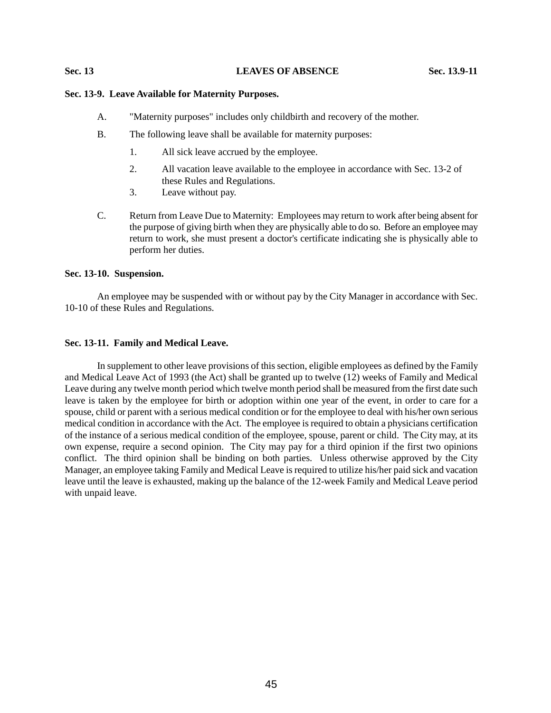#### **Sec. 13 LEAVES OF ABSENCE Sec. 13.9-11**

# **Sec. 13-9. Leave Available for Maternity Purposes.**

- A. "Maternity purposes" includes only childbirth and recovery of the mother.
- B. The following leave shall be available for maternity purposes:
	- 1. All sick leave accrued by the employee.
	- 2. All vacation leave available to the employee in accordance with Sec. 13-2 of these Rules and Regulations.
	- 3. Leave without pay.
- C. Return from Leave Due to Maternity: Employees may return to work after being absent for the purpose of giving birth when they are physically able to do so. Before an employee may return to work, she must present a doctor's certificate indicating she is physically able to perform her duties.

#### **Sec. 13-10. Suspension.**

An employee may be suspended with or without pay by the City Manager in accordance with Sec. 10-10 of these Rules and Regulations.

# **Sec. 13-11. Family and Medical Leave.**

In supplement to other leave provisions of this section, eligible employees as defined by the Family and Medical Leave Act of 1993 (the Act) shall be granted up to twelve (12) weeks of Family and Medical Leave during any twelve month period which twelve month period shall be measured from the first date such leave is taken by the employee for birth or adoption within one year of the event, in order to care for a spouse, child or parent with a serious medical condition or for the employee to deal with his/her own serious medical condition in accordance with the Act. The employee is required to obtain a physicians certification of the instance of a serious medical condition of the employee, spouse, parent or child. The City may, at its own expense, require a second opinion. The City may pay for a third opinion if the first two opinions conflict. The third opinion shall be binding on both parties. Unless otherwise approved by the City Manager, an employee taking Family and Medical Leave is required to utilize his/her paid sick and vacation leave until the leave is exhausted, making up the balance of the 12-week Family and Medical Leave period with unpaid leave.

45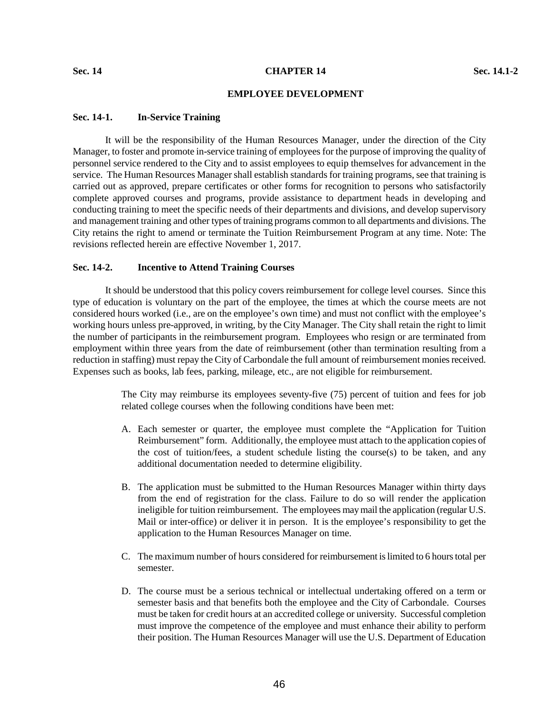# **EMPLOYEE DEVELOPMENT**

#### **Sec. 14-1. In-Service Training**

 It will be the responsibility of the Human Resources Manager, under the direction of the City Manager, to foster and promote in-service training of employees for the purpose of improving the quality of personnel service rendered to the City and to assist employees to equip themselves for advancement in the service. The Human Resources Manager shall establish standards for training programs, see that training is carried out as approved, prepare certificates or other forms for recognition to persons who satisfactorily complete approved courses and programs, provide assistance to department heads in developing and conducting training to meet the specific needs of their departments and divisions, and develop supervisory and management training and other types of training programs common to all departments and divisions. The City retains the right to amend or terminate the Tuition Reimbursement Program at any time. Note: The revisions reflected herein are effective November 1, 2017.

# **Sec. 14-2. Incentive to Attend Training Courses**

 It should be understood that this policy covers reimbursement for college level courses. Since this type of education is voluntary on the part of the employee, the times at which the course meets are not considered hours worked (i.e., are on the employee's own time) and must not conflict with the employee's working hours unless pre-approved, in writing, by the City Manager. The City shall retain the right to limit the number of participants in the reimbursement program. Employees who resign or are terminated from employment within three years from the date of reimbursement (other than termination resulting from a reduction in staffing) must repay the City of Carbondale the full amount of reimbursement monies received. Expenses such as books, lab fees, parking, mileage, etc., are not eligible for reimbursement.

> The City may reimburse its employees seventy-five (75) percent of tuition and fees for job related college courses when the following conditions have been met:

- A. Each semester or quarter, the employee must complete the "Application for Tuition Reimbursement" form. Additionally, the employee must attach to the application copies of the cost of tuition/fees, a student schedule listing the course(s) to be taken, and any additional documentation needed to determine eligibility.
- B. The application must be submitted to the Human Resources Manager within thirty days from the end of registration for the class. Failure to do so will render the application ineligible for tuition reimbursement. The employees may mail the application (regular U.S. Mail or inter-office) or deliver it in person. It is the employee's responsibility to get the application to the Human Resources Manager on time.
- C. The maximum number of hours considered for reimbursement is limited to 6 hours total per semester.
- D. The course must be a serious technical or intellectual undertaking offered on a term or semester basis and that benefits both the employee and the City of Carbondale. Courses must be taken for credit hours at an accredited college or university. Successful completion must improve the competence of the employee and must enhance their ability to perform their position. The Human Resources Manager will use the U.S. Department of Education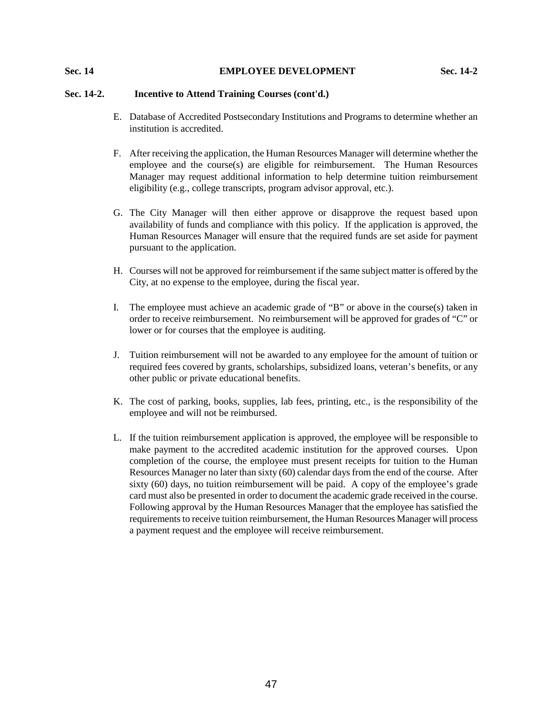# **Sec. 14 EMPLOYEE DEVELOPMENT Sec. 14-2**

# **Sec. 14-2. Incentive to Attend Training Courses (cont'd.)**

- E. Database of Accredited Postsecondary Institutions and Programs to determine whether an institution is accredited.
- F. After receiving the application, the Human Resources Manager will determine whether the employee and the course(s) are eligible for reimbursement. The Human Resources Manager may request additional information to help determine tuition reimbursement eligibility (e.g., college transcripts, program advisor approval, etc.).
- G. The City Manager will then either approve or disapprove the request based upon availability of funds and compliance with this policy. If the application is approved, the Human Resources Manager will ensure that the required funds are set aside for payment pursuant to the application.
- H. Courses will not be approved for reimbursement if the same subject matter is offered by the City, at no expense to the employee, during the fiscal year.
- I. The employee must achieve an academic grade of "B" or above in the course(s) taken in order to receive reimbursement. No reimbursement will be approved for grades of "C" or lower or for courses that the employee is auditing.
- J. Tuition reimbursement will not be awarded to any employee for the amount of tuition or required fees covered by grants, scholarships, subsidized loans, veteran's benefits, or any other public or private educational benefits.
- K. The cost of parking, books, supplies, lab fees, printing, etc., is the responsibility of the employee and will not be reimbursed.
- L. If the tuition reimbursement application is approved, the employee will be responsible to make payment to the accredited academic institution for the approved courses. Upon completion of the course, the employee must present receipts for tuition to the Human Resources Manager no later than sixty (60) calendar days from the end of the course. After sixty (60) days, no tuition reimbursement will be paid. A copy of the employee's grade card must also be presented in order to document the academic grade received in the course. Following approval by the Human Resources Manager that the employee has satisfied the requirements to receive tuition reimbursement, the Human Resources Manager will process a payment request and the employee will receive reimbursement.

47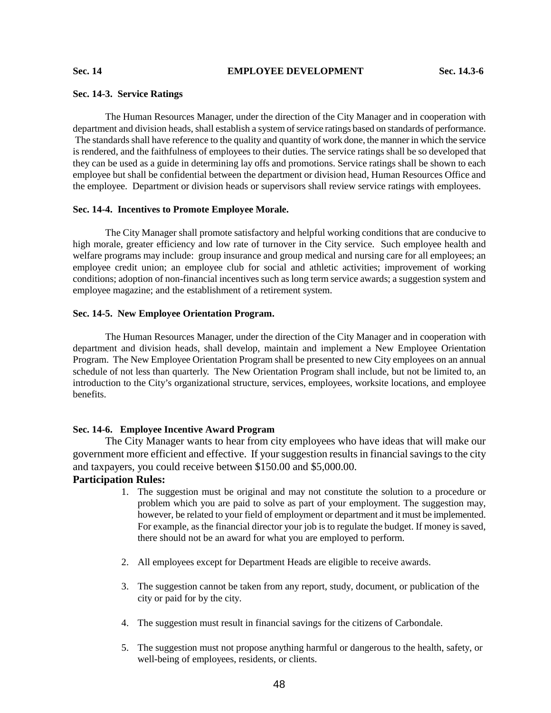#### **Sec. 14-3. Service Ratings**

The Human Resources Manager, under the direction of the City Manager and in cooperation with department and division heads, shall establish a system of service ratings based on standards of performance. The standards shall have reference to the quality and quantity of work done, the manner in which the service is rendered, and the faithfulness of employees to their duties. The service ratings shall be so developed that they can be used as a guide in determining lay offs and promotions. Service ratings shall be shown to each employee but shall be confidential between the department or division head, Human Resources Office and the employee. Department or division heads or supervisors shall review service ratings with employees.

#### **Sec. 14-4. Incentives to Promote Employee Morale.**

The City Manager shall promote satisfactory and helpful working conditions that are conducive to high morale, greater efficiency and low rate of turnover in the City service. Such employee health and welfare programs may include: group insurance and group medical and nursing care for all employees; an employee credit union; an employee club for social and athletic activities; improvement of working conditions; adoption of non-financial incentives such as long term service awards; a suggestion system and employee magazine; and the establishment of a retirement system.

#### **Sec. 14-5. New Employee Orientation Program.**

The Human Resources Manager, under the direction of the City Manager and in cooperation with department and division heads, shall develop, maintain and implement a New Employee Orientation Program. The New Employee Orientation Program shall be presented to new City employees on an annual schedule of not less than quarterly. The New Orientation Program shall include, but not be limited to, an introduction to the City's organizational structure, services, employees, worksite locations, and employee benefits.

## **Sec. 14-6. Employee Incentive Award Program**

The City Manager wants to hear from city employees who have ideas that will make our government more efficient and effective. If your suggestion results in financial savings to the city and taxpayers, you could receive between \$150.00 and \$5,000.00.

# **Participation Rules:**

- 1. The suggestion must be original and may not constitute the solution to a procedure or problem which you are paid to solve as part of your employment. The suggestion may, however, be related to your field of employment or department and it must be implemented. For example, as the financial director your job is to regulate the budget. If money is saved, there should not be an award for what you are employed to perform.
- 2. All employees except for Department Heads are eligible to receive awards.
- 3. The suggestion cannot be taken from any report, study, document, or publication of the city or paid for by the city.
- 4. The suggestion must result in financial savings for the citizens of Carbondale.
- 5. The suggestion must not propose anything harmful or dangerous to the health, safety, or well-being of employees, residents, or clients.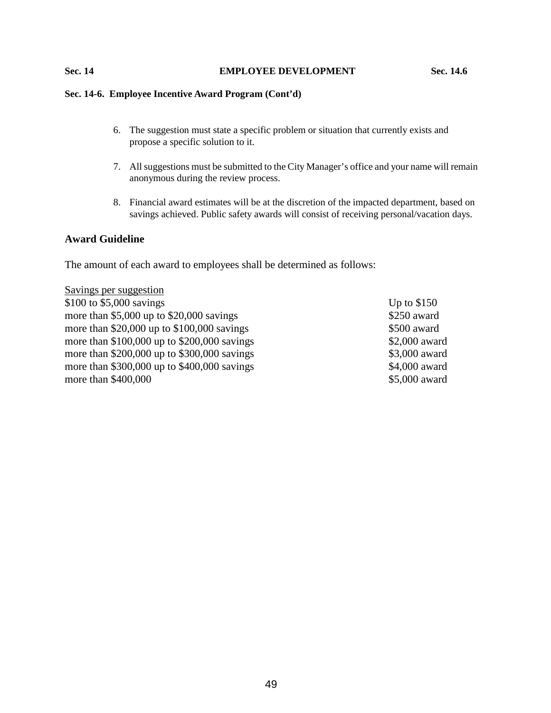# **Sec. 14 EMPLOYEE DEVELOPMENT Sec. 14.6**

# **Sec. 14-6. Employee Incentive Award Program (Cont'd)**

- 6. The suggestion must state a specific problem or situation that currently exists and propose a specific solution to it.
- 7. All suggestions must be submitted to the City Manager's office and your name will remain anonymous during the review process.
- 8. Financial award estimates will be at the discretion of the impacted department, based on savings achieved. Public safety awards will consist of receiving personal/vacation days.

# **Award Guideline**

The amount of each award to employees shall be determined as follows:

| Savings per suggestion                        |               |
|-----------------------------------------------|---------------|
| \$100 to \$5,000 savings                      | Up to $$150$  |
| more than $$5,000$ up to $$20,000$ savings    | \$250 award   |
| more than $$20,000$ up to $$100,000$ savings  | \$500 award   |
| more than $$100,000$ up to $$200,000$ savings | \$2,000 award |
| more than $$200,000$ up to $$300,000$ savings | \$3,000 award |
| more than \$300,000 up to \$400,000 savings   | \$4,000 award |
| more than \$400,000                           | \$5,000 award |
|                                               |               |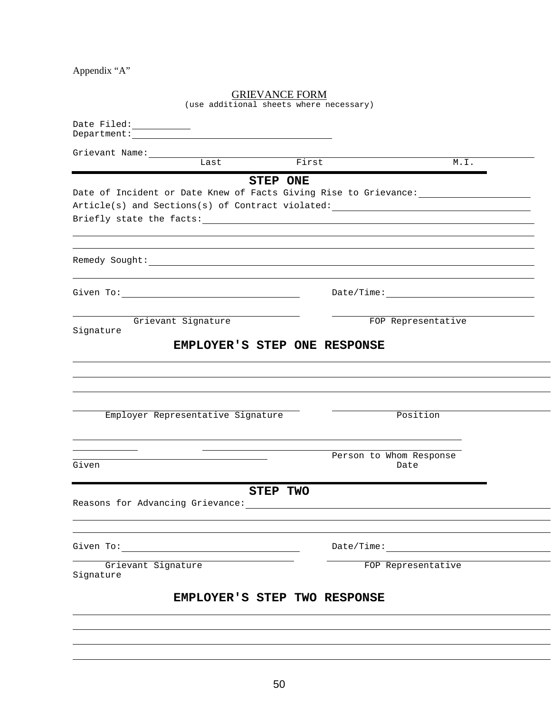Appendix "A"

# GRIEVANCE FORM

(use additional sheets where necessary)

|                    | Department: The Communication of the Communication of the Communication of the Communication of the Communication of the Communication of the Communication of the Communication of the Communication of the Communication of |                 |                                                                                   |  |
|--------------------|-------------------------------------------------------------------------------------------------------------------------------------------------------------------------------------------------------------------------------|-----------------|-----------------------------------------------------------------------------------|--|
| Grievant Name:     |                                                                                                                                                                                                                               |                 |                                                                                   |  |
|                    | Last                                                                                                                                                                                                                          | First           | M.L.                                                                              |  |
|                    |                                                                                                                                                                                                                               | <b>STEP ONE</b> |                                                                                   |  |
|                    |                                                                                                                                                                                                                               |                 | Date of Incident or Date Knew of Facts Giving Rise to Grievance: ________________ |  |
|                    |                                                                                                                                                                                                                               |                 | Article(s) and Sections(s) of Contract violated: _______________________________  |  |
|                    |                                                                                                                                                                                                                               |                 |                                                                                   |  |
|                    |                                                                                                                                                                                                                               |                 |                                                                                   |  |
|                    |                                                                                                                                                                                                                               |                 |                                                                                   |  |
|                    |                                                                                                                                                                                                                               |                 |                                                                                   |  |
|                    |                                                                                                                                                                                                                               |                 |                                                                                   |  |
|                    |                                                                                                                                                                                                                               |                 |                                                                                   |  |
|                    | Grievant Signature                                                                                                                                                                                                            |                 | FOP Representative                                                                |  |
| Signature          |                                                                                                                                                                                                                               |                 |                                                                                   |  |
|                    | EMPLOYER'S STEP ONE RESPONSE                                                                                                                                                                                                  |                 |                                                                                   |  |
|                    |                                                                                                                                                                                                                               |                 |                                                                                   |  |
|                    |                                                                                                                                                                                                                               |                 |                                                                                   |  |
|                    |                                                                                                                                                                                                                               |                 |                                                                                   |  |
|                    |                                                                                                                                                                                                                               |                 |                                                                                   |  |
|                    | Employer Representative Signature                                                                                                                                                                                             |                 | Position                                                                          |  |
|                    |                                                                                                                                                                                                                               |                 |                                                                                   |  |
|                    |                                                                                                                                                                                                                               |                 |                                                                                   |  |
|                    |                                                                                                                                                                                                                               |                 | Person to Whom Response                                                           |  |
| Given              |                                                                                                                                                                                                                               |                 | Date                                                                              |  |
|                    |                                                                                                                                                                                                                               |                 |                                                                                   |  |
|                    |                                                                                                                                                                                                                               | STEP TWO        |                                                                                   |  |
|                    |                                                                                                                                                                                                                               |                 |                                                                                   |  |
|                    |                                                                                                                                                                                                                               |                 |                                                                                   |  |
|                    |                                                                                                                                                                                                                               |                 |                                                                                   |  |
|                    |                                                                                                                                                                                                                               |                 | Date/Time:                                                                        |  |
| Grievant Signature |                                                                                                                                                                                                                               |                 | FOP Representative                                                                |  |
| Signature          |                                                                                                                                                                                                                               |                 |                                                                                   |  |
|                    | EMPLOYER'S STEP TWO RESPONSE                                                                                                                                                                                                  |                 |                                                                                   |  |
|                    |                                                                                                                                                                                                                               |                 |                                                                                   |  |
|                    |                                                                                                                                                                                                                               |                 |                                                                                   |  |
|                    |                                                                                                                                                                                                                               |                 |                                                                                   |  |
|                    |                                                                                                                                                                                                                               |                 |                                                                                   |  |